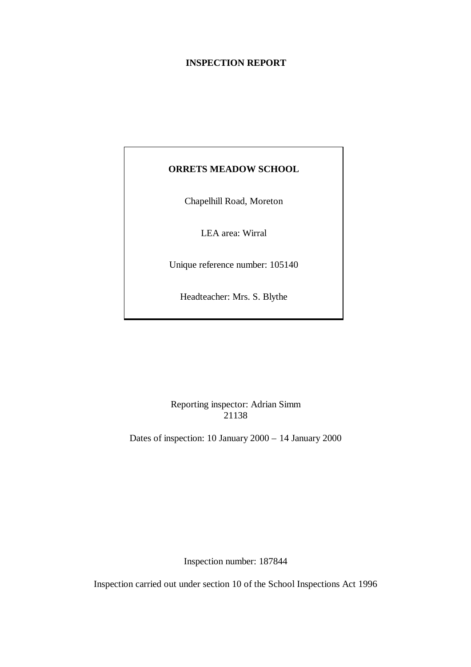# **INSPECTION REPORT**

# **ORRETS MEADOW SCHOOL**

Chapelhill Road, Moreton

LEA area: Wirral

Unique reference number: 105140

Headteacher: Mrs. S. Blythe

Reporting inspector: Adrian Simm 21138

Dates of inspection: 10 January 2000 – 14 January 2000

Inspection number: 187844

Inspection carried out under section 10 of the School Inspections Act 1996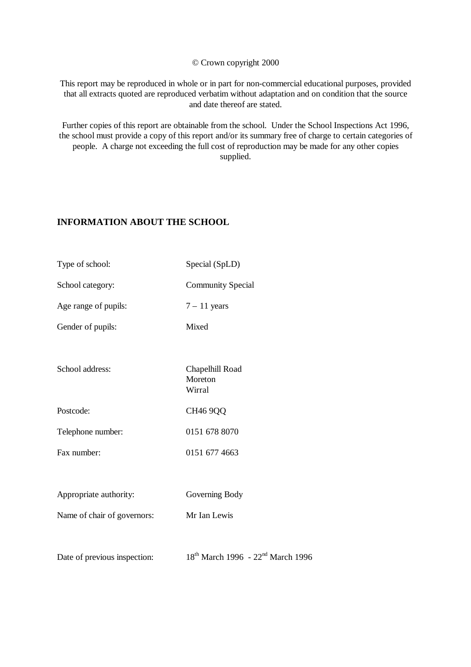© Crown copyright 2000

This report may be reproduced in whole or in part for non-commercial educational purposes, provided that all extracts quoted are reproduced verbatim without adaptation and on condition that the source and date thereof are stated.

Further copies of this report are obtainable from the school. Under the School Inspections Act 1996, the school must provide a copy of this report and/or its summary free of charge to certain categories of people. A charge not exceeding the full cost of reproduction may be made for any other copies supplied.

# **INFORMATION ABOUT THE SCHOOL**

Type of school: Special (SpLD) School category: Community Special Age range of pupils:  $7 - 11$  years Gender of pupils: Mixed School address: Chapelhill Road Moreton Wirral Postcode: CH46 9QQ Telephone number: 0151 678 8070 Fax number: 0151 677 4663 Appropriate authority: Governing Body Name of chair of governors: Mr Ian Lewis Date of previous inspection: 18<sup>th</sup> March 1996 - 22<sup>nd</sup> March 1996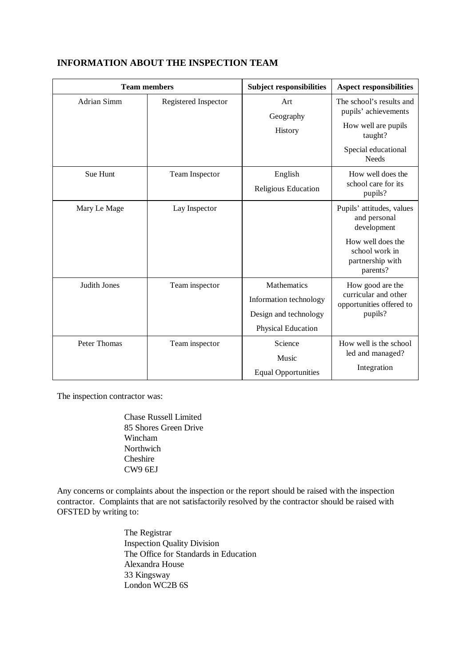| <b>Team members</b> |                      | <b>Subject responsibilities</b>                                                      | <b>Aspect responsibilities</b>                                                                                                  |
|---------------------|----------------------|--------------------------------------------------------------------------------------|---------------------------------------------------------------------------------------------------------------------------------|
| <b>Adrian Simm</b>  | Registered Inspector | Art<br>Geography<br>History                                                          | The school's results and<br>pupils' achievements<br>How well are pupils<br>taught?<br>Special educational<br><b>Needs</b>       |
| Sue Hunt            | Team Inspector       | English<br>Religious Education                                                       | How well does the<br>school care for its<br>pupils?                                                                             |
| Mary Le Mage        | Lay Inspector        |                                                                                      | Pupils' attitudes, values<br>and personal<br>development<br>How well does the<br>school work in<br>partnership with<br>parents? |
| Judith Jones        | Team inspector       | Mathematics<br>Information technology<br>Design and technology<br>Physical Education | How good are the<br>curricular and other<br>opportunities offered to<br>pupils?                                                 |
| Peter Thomas        | Team inspector       | Science<br>Music<br><b>Equal Opportunities</b>                                       | How well is the school<br>led and managed?<br>Integration                                                                       |

# **INFORMATION ABOUT THE INSPECTION TEAM**

The inspection contractor was:

Chase Russell Limited 85 Shores Green Drive Wincham Northwich Cheshire CW9 6EJ

Any concerns or complaints about the inspection or the report should be raised with the inspection contractor. Complaints that are not satisfactorily resolved by the contractor should be raised with OFSTED by writing to:

> The Registrar Inspection Quality Division The Office for Standards in Education Alexandra House 33 Kingsway London WC2B 6S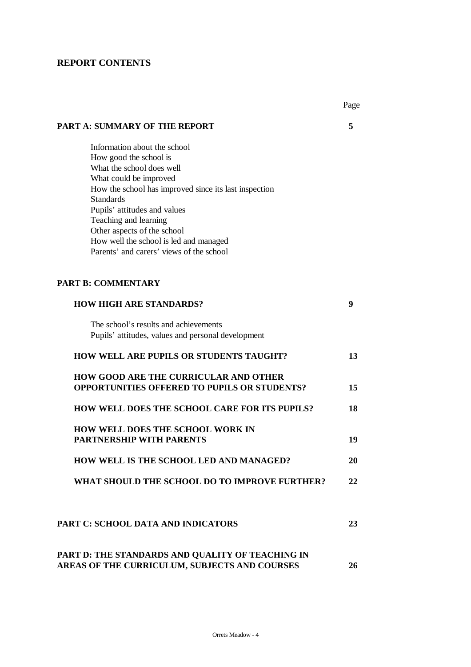# **REPORT CONTENTS**

|                                                       | Page |
|-------------------------------------------------------|------|
| <b>PART A: SUMMARY OF THE REPORT</b>                  | 5    |
| Information about the school                          |      |
| How good the school is                                |      |
| What the school does well                             |      |
| What could be improved                                |      |
| How the school has improved since its last inspection |      |
| <b>Standards</b><br>Pupils' attitudes and values      |      |
| Teaching and learning                                 |      |
| Other aspects of the school                           |      |
| How well the school is led and managed                |      |
| Parents' and carers' views of the school              |      |
|                                                       |      |
| <b>PART B: COMMENTARY</b>                             |      |
| <b>HOW HIGH ARE STANDARDS?</b>                        | 9    |
| The school's results and achievements                 |      |
| Pupils' attitudes, values and personal development    |      |
| <b>HOW WELL ARE PUPILS OR STUDENTS TAUGHT?</b>        | 13   |
| <b>HOW GOOD ARE THE CURRICULAR AND OTHER</b>          |      |
| <b>OPPORTUNITIES OFFERED TO PUPILS OR STUDENTS?</b>   | 15   |
| <b>HOW WELL DOES THE SCHOOL CARE FOR ITS PUPILS?</b>  | 18   |
| <b>HOW WELL DOES THE SCHOOL WORK IN</b>               |      |
| <b>PARTNERSHIP WITH PARENTS</b>                       | 19   |
| HOW WELL IS THE SCHOOL LED AND MANAGED?               | 20   |
| WHAT SHOULD THE SCHOOL DO TO IMPROVE FURTHER?         | 22   |
| <b>PART C: SCHOOL DATA AND INDICATORS</b>             | 23   |
| PART D: THE STANDARDS AND QUALITY OF TEACHING IN      |      |
| AREAS OF THE CURRICULUM, SUBJECTS AND COURSES         | 26   |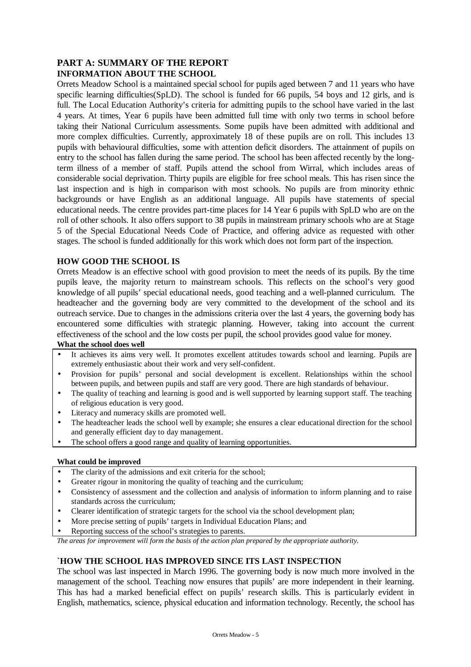# **PART A: SUMMARY OF THE REPORT INFORMATION ABOUT THE SCHOOL**

Orrets Meadow School is a maintained special school for pupils aged between 7 and 11 years who have specific learning difficulties(SpLD). The school is funded for 66 pupils, 54 boys and 12 girls, and is full. The Local Education Authority's criteria for admitting pupils to the school have varied in the last 4 years. At times, Year 6 pupils have been admitted full time with only two terms in school before taking their National Curriculum assessments. Some pupils have been admitted with additional and more complex difficulties. Currently, approximately 18 of these pupils are on roll. This includes 13 pupils with behavioural difficulties, some with attention deficit disorders. The attainment of pupils on entry to the school has fallen during the same period. The school has been affected recently by the longterm illness of a member of staff. Pupils attend the school from Wirral, which includes areas of considerable social deprivation. Thirty pupils are eligible for free school meals. This has risen since the last inspection and is high in comparison with most schools. No pupils are from minority ethnic backgrounds or have English as an additional language. All pupils have statements of special educational needs. The centre provides part-time places for 14 Year 6 pupils with SpLD who are on the roll of other schools. It also offers support to 38 pupils in mainstream primary schools who are at Stage 5 of the Special Educational Needs Code of Practice, and offering advice as requested with other stages. The school is funded additionally for this work which does not form part of the inspection.

## **HOW GOOD THE SCHOOL IS**

Orrets Meadow is an effective school with good provision to meet the needs of its pupils. By the time pupils leave, the majority return to mainstream schools. This reflects on the school's very good knowledge of all pupils' special educational needs, good teaching and a well-planned curriculum. The headteacher and the governing body are very committed to the development of the school and its outreach service. Due to changes in the admissions criteria over the last 4 years, the governing body has encountered some difficulties with strategic planning. However, taking into account the current effectiveness of the school and the low costs per pupil, the school provides good value for money.

**What the school does well**

- It achieves its aims very well. It promotes excellent attitudes towards school and learning. Pupils are extremely enthusiastic about their work and very self-confident.
- Provision for pupils' personal and social development is excellent. Relationships within the school between pupils, and between pupils and staff are very good. There are high standards of behaviour.
- The quality of teaching and learning is good and is well supported by learning support staff. The teaching of religious education is very good.
- Literacy and numeracy skills are promoted well.
- The headteacher leads the school well by example; she ensures a clear educational direction for the school and generally efficient day to day management.
- The school offers a good range and quality of learning opportunities.

### **What could be improved**

- The clarity of the admissions and exit criteria for the school;
- Greater rigour in monitoring the quality of teaching and the curriculum;
- Consistency of assessment and the collection and analysis of information to inform planning and to raise standards across the curriculum;
- Clearer identification of strategic targets for the school via the school development plan;
- More precise setting of pupils' targets in Individual Education Plans; and
- Reporting success of the school's strategies to parents.

*The areas for improvement will form the basis of the action plan prepared by the appropriate authority.*

## **`HOW THE SCHOOL HAS IMPROVED SINCE ITS LAST INSPECTION**

The school was last inspected in March 1996. The governing body is now much more involved in the management of the school. Teaching now ensures that pupils' are more independent in their learning. This has had a marked beneficial effect on pupils' research skills. This is particularly evident in English, mathematics, science, physical education and information technology. Recently, the school has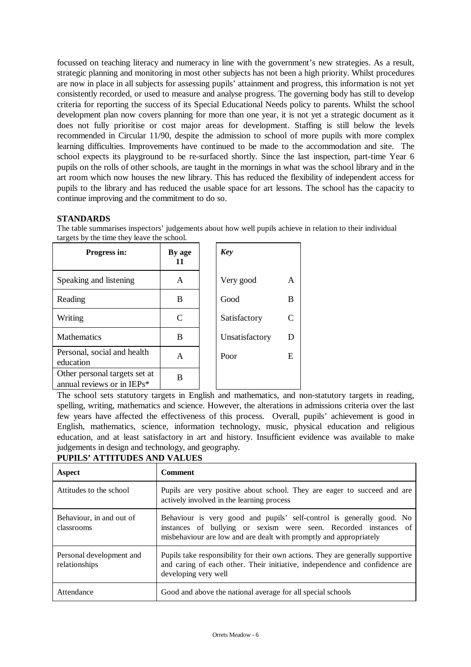focussed on teaching literacy and numeracy in line with the government's new strategies. As a result, strategic planning and monitoring in most other subjects has not been a high priority. Whilst procedures are now in place in all subjects for assessing pupils' attainment and progress, this information is not yet consistently recorded, or used to measure and analyse progress. The governing body has still to develop criteria for reporting the success of its Special Educational Needs policy to parents. Whilst the school development plan now covers planning for more than one year, it is not yet a strategic document as it does not fully prioritise or cost major areas for development. Staffing is still below the levels recommended in Circular 11/90, despite the admission to school of more pupils with more complex learning difficulties. Improvements have continued to be made to the accommodation and site. The school expects its playground to be re-surfaced shortly. Since the last inspection, part-time Year 6 pupils on the rolls of other schools, are taught in the mornings in what was the school library and in the art room which now houses the new library. This has reduced the flexibility of independent access for pupils to the library and has reduced the usable space for art lessons. The school has the capacity to continue improving and the commitment to do so.

## **STANDARDS**

The table summarises inspectors' judgements about how well pupils achieve in relation to their individual targets by the time they leave the school.

| Progress in:                                                | By age<br>11 | <b>Key</b>     |   |
|-------------------------------------------------------------|--------------|----------------|---|
| Speaking and listening                                      | A            | Very good      | A |
| Reading                                                     | B            | Good           | B |
| Writing                                                     | C            | Satisfactory   |   |
| <b>Mathematics</b>                                          | B            | Unsatisfactory | D |
| Personal, social and health<br>education                    | A            | Poor           | E |
| Other personal targets set at<br>annual reviews or in IEPs* | В            |                |   |

The school sets statutory targets in English and mathematics, and non-statutory targets in reading, spelling, writing, mathematics and science. However, the alterations in admissions criteria over the last few years have affected the effectiveness of this process. Overall, pupils' achievement is good in English, mathematics, science, information technology, music, physical education and religious education, and at least satisfactory in art and history. Insufficient evidence was available to make judgements in design and technology, and geography.

| <b>PUPILS' ATTITUDES AND VALUES</b> |
|-------------------------------------|
|-------------------------------------|

| Aspect                                    | <b>Comment</b>                                                                                                                                                                                                  |
|-------------------------------------------|-----------------------------------------------------------------------------------------------------------------------------------------------------------------------------------------------------------------|
| Attitudes to the school                   | Pupils are very positive about school. They are eager to succeed and are<br>actively involved in the learning process                                                                                           |
| Behaviour, in and out of<br>classrooms    | Behaviour is very good and pupils' self-control is generally good. No<br>instances of bullying or sexism were seen. Recorded instances of<br>misbehaviour are low and are dealt with promptly and appropriately |
| Personal development and<br>relationships | Pupils take responsibility for their own actions. They are generally supportive<br>and caring of each other. Their initiative, independence and confidence are<br>developing very well                          |
| Attendance                                | Good and above the national average for all special schools                                                                                                                                                     |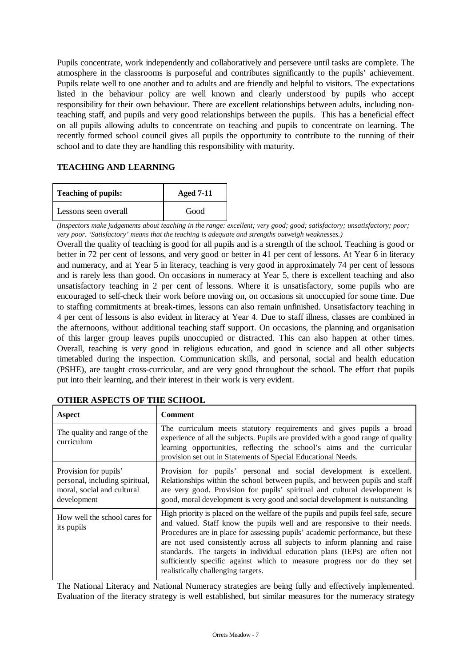Pupils concentrate, work independently and collaboratively and persevere until tasks are complete. The atmosphere in the classrooms is purposeful and contributes significantly to the pupils' achievement. Pupils relate well to one another and to adults and are friendly and helpful to visitors. The expectations listed in the behaviour policy are well known and clearly understood by pupils who accept responsibility for their own behaviour. There are excellent relationships between adults, including nonteaching staff, and pupils and very good relationships between the pupils. This has a beneficial effect on all pupils allowing adults to concentrate on teaching and pupils to concentrate on learning. The recently formed school council gives all pupils the opportunity to contribute to the running of their school and to date they are handling this responsibility with maturity.

# **TEACHING AND LEARNING**

| <b>Teaching of pupils:</b> | <b>Aged 7-11</b> |  |
|----------------------------|------------------|--|
| Lessons seen overall       | Good             |  |

*(Inspectors make judgements about teaching in the range: excellent; very good; good; satisfactory; unsatisfactory; poor; very poor. 'Satisfactory' means that the teaching is adequate and strengths outweigh weaknesses.)*

Overall the quality of teaching is good for all pupils and is a strength of the school. Teaching is good or better in 72 per cent of lessons, and very good or better in 41 per cent of lessons. At Year 6 in literacy and numeracy, and at Year 5 in literacy, teaching is very good in approximately 74 per cent of lessons and is rarely less than good. On occasions in numeracy at Year 5, there is excellent teaching and also unsatisfactory teaching in 2 per cent of lessons. Where it is unsatisfactory, some pupils who are encouraged to self-check their work before moving on, on occasions sit unoccupied for some time. Due to staffing commitments at break-times, lessons can also remain unfinished. Unsatisfactory teaching in 4 per cent of lessons is also evident in literacy at Year 4. Due to staff illness, classes are combined in the afternoons, without additional teaching staff support. On occasions, the planning and organisation of this larger group leaves pupils unoccupied or distracted. This can also happen at other times. Overall, teaching is very good in religious education, and good in science and all other subjects timetabled during the inspection. Communication skills, and personal, social and health education (PSHE), are taught cross-curricular, and are very good throughout the school. The effort that pupils put into their learning, and their interest in their work is very evident.

| Aspect                                                                                               | <b>Comment</b>                                                                                                                                                                                                                                                                                                                                                                                                                                                                                                              |
|------------------------------------------------------------------------------------------------------|-----------------------------------------------------------------------------------------------------------------------------------------------------------------------------------------------------------------------------------------------------------------------------------------------------------------------------------------------------------------------------------------------------------------------------------------------------------------------------------------------------------------------------|
| The quality and range of the<br>curriculum                                                           | The curriculum meets statutory requirements and gives pupils a broad<br>experience of all the subjects. Pupils are provided with a good range of quality<br>learning opportunities, reflecting the school's aims and the curricular<br>provision set out in Statements of Special Educational Needs.                                                                                                                                                                                                                        |
| Provision for pupils'<br>personal, including spiritual,<br>moral, social and cultural<br>development | Provision for pupils' personal and social development is excellent.<br>Relationships within the school between pupils, and between pupils and staff<br>are very good. Provision for pupils' spiritual and cultural development is<br>good, moral development is very good and social development is outstanding                                                                                                                                                                                                             |
| How well the school cares for<br>its pupils                                                          | High priority is placed on the welfare of the pupils and pupils feel safe, secure<br>and valued. Staff know the pupils well and are responsive to their needs.<br>Procedures are in place for assessing pupils' academic performance, but these<br>are not used consistently across all subjects to inform planning and raise<br>standards. The targets in individual education plans (IEPs) are often not<br>sufficiently specific against which to measure progress nor do they set<br>realistically challenging targets. |

# **OTHER ASPECTS OF THE SCHOOL**

The National Literacy and National Numeracy strategies are being fully and effectively implemented. Evaluation of the literacy strategy is well established, but similar measures for the numeracy strategy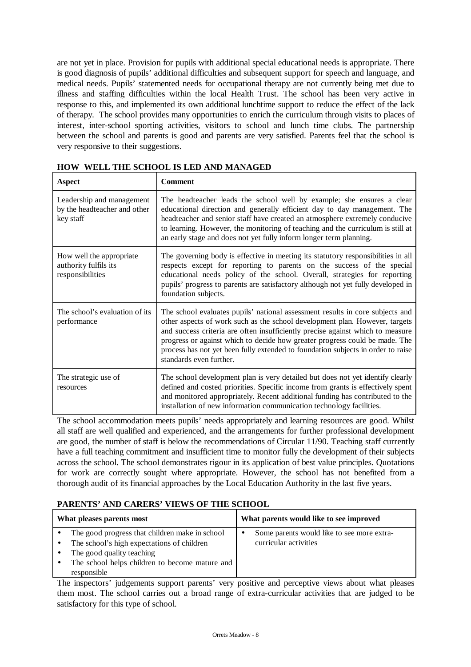are not yet in place. Provision for pupils with additional special educational needs is appropriate. There is good diagnosis of pupils' additional difficulties and subsequent support for speech and language, and medical needs. Pupils' statemented needs for occupational therapy are not currently being met due to illness and staffing difficulties within the local Health Trust. The school has been very active in response to this, and implemented its own additional lunchtime support to reduce the effect of the lack of therapy. The school provides many opportunities to enrich the curriculum through visits to places of interest, inter-school sporting activities, visitors to school and lunch time clubs. The partnership between the school and parents is good and parents are very satisfied. Parents feel that the school is very responsive to their suggestions.

| <b>Aspect</b>                                                          | <b>Comment</b>                                                                                                                                                                                                                                                                                                                                                                                                                               |
|------------------------------------------------------------------------|----------------------------------------------------------------------------------------------------------------------------------------------------------------------------------------------------------------------------------------------------------------------------------------------------------------------------------------------------------------------------------------------------------------------------------------------|
| Leadership and management<br>by the headteacher and other<br>key staff | The headteacher leads the school well by example; she ensures a clear<br>educational direction and generally efficient day to day management. The<br>headteacher and senior staff have created an atmosphere extremely conducive<br>to learning. However, the monitoring of teaching and the curriculum is still at<br>an early stage and does not yet fully inform longer term planning.                                                    |
| How well the appropriate<br>authority fulfils its<br>responsibilities  | The governing body is effective in meeting its statutory responsibilities in all<br>respects except for reporting to parents on the success of the special<br>educational needs policy of the school. Overall, strategies for reporting<br>pupils' progress to parents are satisfactory although not yet fully developed in<br>foundation subjects.                                                                                          |
| The school's evaluation of its<br>performance                          | The school evaluates pupils' national assessment results in core subjects and<br>other aspects of work such as the school development plan. However, targets<br>and success criteria are often insufficiently precise against which to measure<br>progress or against which to decide how greater progress could be made. The<br>process has not yet been fully extended to foundation subjects in order to raise<br>standards even further. |
| The strategic use of<br>resources                                      | The school development plan is very detailed but does not yet identify clearly<br>defined and costed priorities. Specific income from grants is effectively spent<br>and monitored appropriately. Recent additional funding has contributed to the<br>installation of new information communication technology facilities.                                                                                                                   |

**HOW WELL THE SCHOOL IS LED AND MANAGED**

The school accommodation meets pupils' needs appropriately and learning resources are good. Whilst all staff are well qualified and experienced, and the arrangements for further professional development are good, the number of staff is below the recommendations of Circular 11/90. Teaching staff currently have a full teaching commitment and insufficient time to monitor fully the development of their subjects across the school. The school demonstrates rigour in its application of best value principles. Quotations for work are correctly sought where appropriate. However, the school has not benefited from a thorough audit of its financial approaches by the Local Education Authority in the last five years.

# **PARENTS' AND CARERS' VIEWS OF THE SCHOOL**

| What pleases parents most                               | What parents would like to see improved         |
|---------------------------------------------------------|-------------------------------------------------|
| The good progress that children make in school          | Some parents would like to see more extra-<br>٠ |
| The school's high expectations of children<br>$\bullet$ | curricular activities                           |
| The good quality teaching                               |                                                 |
| The school helps children to become mature and          |                                                 |
| responsible                                             |                                                 |

The inspectors' judgements support parents' very positive and perceptive views about what pleases them most. The school carries out a broad range of extra-curricular activities that are judged to be satisfactory for this type of school.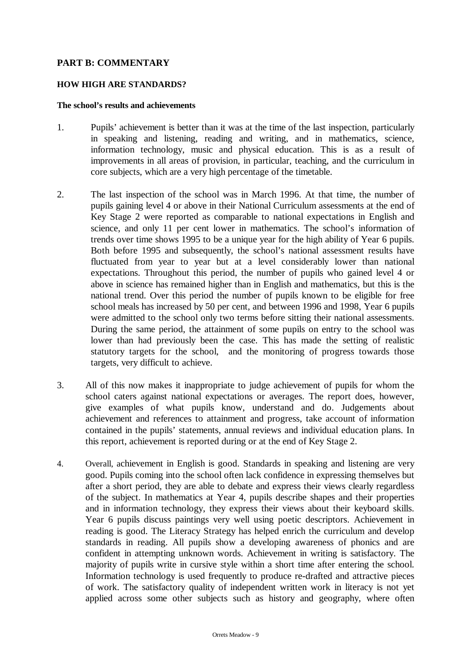# **PART B: COMMENTARY**

## **HOW HIGH ARE STANDARDS?**

## **The school's results and achievements**

- 1. Pupils' achievement is better than it was at the time of the last inspection, particularly in speaking and listening, reading and writing, and in mathematics, science, information technology, music and physical education. This is as a result of improvements in all areas of provision, in particular, teaching, and the curriculum in core subjects, which are a very high percentage of the timetable.
- 2. The last inspection of the school was in March 1996. At that time, the number of pupils gaining level 4 or above in their National Curriculum assessments at the end of Key Stage 2 were reported as comparable to national expectations in English and science, and only 11 per cent lower in mathematics. The school's information of trends over time shows 1995 to be a unique year for the high ability of Year 6 pupils. Both before 1995 and subsequently, the school's national assessment results have fluctuated from year to year but at a level considerably lower than national expectations. Throughout this period, the number of pupils who gained level 4 or above in science has remained higher than in English and mathematics, but this is the national trend. Over this period the number of pupils known to be eligible for free school meals has increased by 50 per cent, and between 1996 and 1998, Year 6 pupils were admitted to the school only two terms before sitting their national assessments. During the same period, the attainment of some pupils on entry to the school was lower than had previously been the case. This has made the setting of realistic statutory targets for the school, and the monitoring of progress towards those targets, very difficult to achieve.
- 3. All of this now makes it inappropriate to judge achievement of pupils for whom the school caters against national expectations or averages. The report does, however, give examples of what pupils know, understand and do. Judgements about achievement and references to attainment and progress, take account of information contained in the pupils' statements, annual reviews and individual education plans. In this report, achievement is reported during or at the end of Key Stage 2.
- 4. Overall, achievement in English is good. Standards in speaking and listening are very good. Pupils coming into the school often lack confidence in expressing themselves but after a short period, they are able to debate and express their views clearly regardless of the subject. In mathematics at Year 4, pupils describe shapes and their properties and in information technology, they express their views about their keyboard skills. Year 6 pupils discuss paintings very well using poetic descriptors. Achievement in reading is good. The Literacy Strategy has helped enrich the curriculum and develop standards in reading. All pupils show a developing awareness of phonics and are confident in attempting unknown words. Achievement in writing is satisfactory. The majority of pupils write in cursive style within a short time after entering the school. Information technology is used frequently to produce re-drafted and attractive pieces of work. The satisfactory quality of independent written work in literacy is not yet applied across some other subjects such as history and geography, where often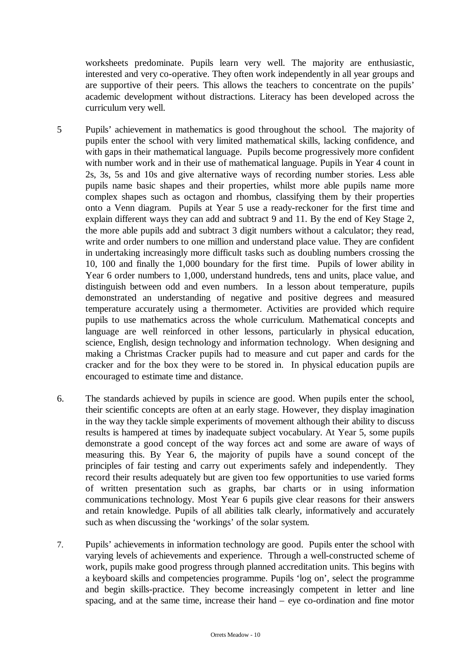worksheets predominate. Pupils learn very well. The majority are enthusiastic, interested and very co-operative. They often work independently in all year groups and are supportive of their peers. This allows the teachers to concentrate on the pupils' academic development without distractions. Literacy has been developed across the curriculum very well.

- 5 Pupils' achievement in mathematics is good throughout the school. The majority of pupils enter the school with very limited mathematical skills, lacking confidence, and with gaps in their mathematical language. Pupils become progressively more confident with number work and in their use of mathematical language. Pupils in Year 4 count in 2s, 3s, 5s and 10s and give alternative ways of recording number stories. Less able pupils name basic shapes and their properties, whilst more able pupils name more complex shapes such as octagon and rhombus, classifying them by their properties onto a Venn diagram. Pupils at Year 5 use a ready-reckoner for the first time and explain different ways they can add and subtract 9 and 11. By the end of Key Stage 2, the more able pupils add and subtract 3 digit numbers without a calculator; they read, write and order numbers to one million and understand place value. They are confident in undertaking increasingly more difficult tasks such as doubling numbers crossing the 10, 100 and finally the 1,000 boundary for the first time. Pupils of lower ability in Year 6 order numbers to 1,000, understand hundreds, tens and units, place value, and distinguish between odd and even numbers. In a lesson about temperature, pupils demonstrated an understanding of negative and positive degrees and measured temperature accurately using a thermometer. Activities are provided which require pupils to use mathematics across the whole curriculum. Mathematical concepts and language are well reinforced in other lessons, particularly in physical education, science, English, design technology and information technology. When designing and making a Christmas Cracker pupils had to measure and cut paper and cards for the cracker and for the box they were to be stored in. In physical education pupils are encouraged to estimate time and distance.
- 6. The standards achieved by pupils in science are good. When pupils enter the school, their scientific concepts are often at an early stage. However, they display imagination in the way they tackle simple experiments of movement although their ability to discuss results is hampered at times by inadequate subject vocabulary. At Year 5, some pupils demonstrate a good concept of the way forces act and some are aware of ways of measuring this. By Year 6, the majority of pupils have a sound concept of the principles of fair testing and carry out experiments safely and independently. They record their results adequately but are given too few opportunities to use varied forms of written presentation such as graphs, bar charts or in using information communications technology. Most Year 6 pupils give clear reasons for their answers and retain knowledge. Pupils of all abilities talk clearly, informatively and accurately such as when discussing the 'workings' of the solar system.
- 7. Pupils' achievements in information technology are good. Pupils enter the school with varying levels of achievements and experience. Through a well-constructed scheme of work, pupils make good progress through planned accreditation units. This begins with a keyboard skills and competencies programme. Pupils 'log on', select the programme and begin skills-practice. They become increasingly competent in letter and line spacing, and at the same time, increase their hand – eye co-ordination and fine motor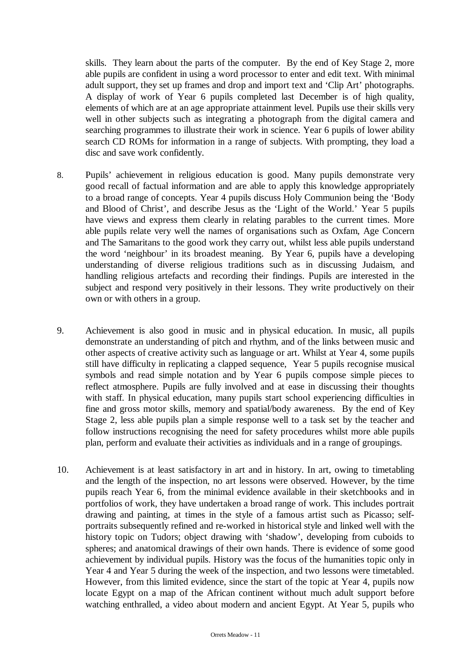skills. They learn about the parts of the computer. By the end of Key Stage 2, more able pupils are confident in using a word processor to enter and edit text. With minimal adult support, they set up frames and drop and import text and 'Clip Art' photographs. A display of work of Year 6 pupils completed last December is of high quality, elements of which are at an age appropriate attainment level. Pupils use their skills very well in other subjects such as integrating a photograph from the digital camera and searching programmes to illustrate their work in science. Year 6 pupils of lower ability search CD ROMs for information in a range of subjects. With prompting, they load a disc and save work confidently.

- 8. Pupils' achievement in religious education is good. Many pupils demonstrate very good recall of factual information and are able to apply this knowledge appropriately to a broad range of concepts. Year 4 pupils discuss Holy Communion being the 'Body and Blood of Christ', and describe Jesus as the 'Light of the World.' Year 5 pupils have views and express them clearly in relating parables to the current times. More able pupils relate very well the names of organisations such as Oxfam, Age Concern and The Samaritans to the good work they carry out, whilst less able pupils understand the word 'neighbour' in its broadest meaning. By Year 6, pupils have a developing understanding of diverse religious traditions such as in discussing Judaism, and handling religious artefacts and recording their findings. Pupils are interested in the subject and respond very positively in their lessons. They write productively on their own or with others in a group.
- 9. Achievement is also good in music and in physical education. In music, all pupils demonstrate an understanding of pitch and rhythm, and of the links between music and other aspects of creative activity such as language or art. Whilst at Year 4, some pupils still have difficulty in replicating a clapped sequence, Year 5 pupils recognise musical symbols and read simple notation and by Year 6 pupils compose simple pieces to reflect atmosphere. Pupils are fully involved and at ease in discussing their thoughts with staff. In physical education, many pupils start school experiencing difficulties in fine and gross motor skills, memory and spatial/body awareness. By the end of Key Stage 2, less able pupils plan a simple response well to a task set by the teacher and follow instructions recognising the need for safety procedures whilst more able pupils plan, perform and evaluate their activities as individuals and in a range of groupings.
- 10. Achievement is at least satisfactory in art and in history. In art, owing to timetabling and the length of the inspection, no art lessons were observed. However, by the time pupils reach Year 6, from the minimal evidence available in their sketchbooks and in portfolios of work, they have undertaken a broad range of work. This includes portrait drawing and painting, at times in the style of a famous artist such as Picasso; selfportraits subsequently refined and re-worked in historical style and linked well with the history topic on Tudors; object drawing with 'shadow', developing from cuboids to spheres; and anatomical drawings of their own hands. There is evidence of some good achievement by individual pupils. History was the focus of the humanities topic only in Year 4 and Year 5 during the week of the inspection, and two lessons were timetabled. However, from this limited evidence, since the start of the topic at Year 4, pupils now locate Egypt on a map of the African continent without much adult support before watching enthralled, a video about modern and ancient Egypt. At Year 5, pupils who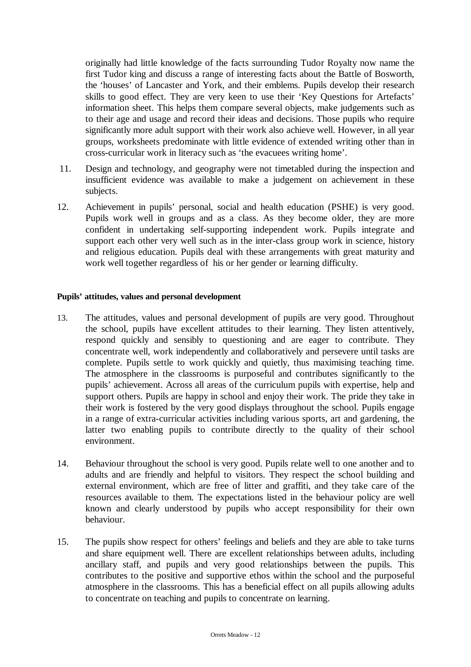originally had little knowledge of the facts surrounding Tudor Royalty now name the first Tudor king and discuss a range of interesting facts about the Battle of Bosworth, the 'houses' of Lancaster and York, and their emblems. Pupils develop their research skills to good effect. They are very keen to use their 'Key Questions for Artefacts' information sheet. This helps them compare several objects, make judgements such as to their age and usage and record their ideas and decisions. Those pupils who require significantly more adult support with their work also achieve well. However, in all year groups, worksheets predominate with little evidence of extended writing other than in cross-curricular work in literacy such as 'the evacuees writing home'.

- 11. Design and technology, and geography were not timetabled during the inspection and insufficient evidence was available to make a judgement on achievement in these subjects.
- 12. Achievement in pupils' personal, social and health education (PSHE) is very good. Pupils work well in groups and as a class. As they become older, they are more confident in undertaking self-supporting independent work. Pupils integrate and support each other very well such as in the inter-class group work in science, history and religious education. Pupils deal with these arrangements with great maturity and work well together regardless of his or her gender or learning difficulty.

## **Pupils' attitudes, values and personal development**

- 13. The attitudes, values and personal development of pupils are very good. Throughout the school, pupils have excellent attitudes to their learning. They listen attentively, respond quickly and sensibly to questioning and are eager to contribute. They concentrate well, work independently and collaboratively and persevere until tasks are complete. Pupils settle to work quickly and quietly, thus maximising teaching time. The atmosphere in the classrooms is purposeful and contributes significantly to the pupils' achievement. Across all areas of the curriculum pupils with expertise, help and support others. Pupils are happy in school and enjoy their work. The pride they take in their work is fostered by the very good displays throughout the school. Pupils engage in a range of extra-curricular activities including various sports, art and gardening, the latter two enabling pupils to contribute directly to the quality of their school environment.
- 14. Behaviour throughout the school is very good. Pupils relate well to one another and to adults and are friendly and helpful to visitors. They respect the school building and external environment, which are free of litter and graffiti, and they take care of the resources available to them. The expectations listed in the behaviour policy are well known and clearly understood by pupils who accept responsibility for their own behaviour.
- 15. The pupils show respect for others' feelings and beliefs and they are able to take turns and share equipment well. There are excellent relationships between adults, including ancillary staff, and pupils and very good relationships between the pupils. This contributes to the positive and supportive ethos within the school and the purposeful atmosphere in the classrooms. This has a beneficial effect on all pupils allowing adults to concentrate on teaching and pupils to concentrate on learning.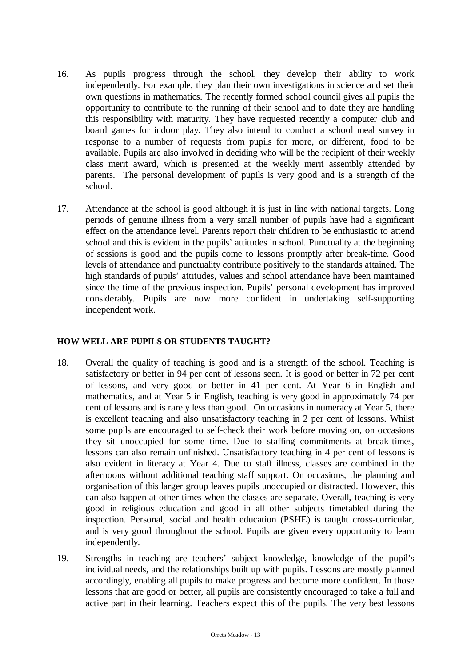- 16. As pupils progress through the school, they develop their ability to work independently. For example, they plan their own investigations in science and set their own questions in mathematics. The recently formed school council gives all pupils the opportunity to contribute to the running of their school and to date they are handling this responsibility with maturity. They have requested recently a computer club and board games for indoor play. They also intend to conduct a school meal survey in response to a number of requests from pupils for more, or different, food to be available. Pupils are also involved in deciding who will be the recipient of their weekly class merit award, which is presented at the weekly merit assembly attended by parents. The personal development of pupils is very good and is a strength of the school.
- 17. Attendance at the school is good although it is just in line with national targets. Long periods of genuine illness from a very small number of pupils have had a significant effect on the attendance level. Parents report their children to be enthusiastic to attend school and this is evident in the pupils' attitudes in school. Punctuality at the beginning of sessions is good and the pupils come to lessons promptly after break-time. Good levels of attendance and punctuality contribute positively to the standards attained. The high standards of pupils' attitudes, values and school attendance have been maintained since the time of the previous inspection. Pupils' personal development has improved considerably. Pupils are now more confident in undertaking self-supporting independent work.

# **HOW WELL ARE PUPILS OR STUDENTS TAUGHT?**

- 18. Overall the quality of teaching is good and is a strength of the school. Teaching is satisfactory or better in 94 per cent of lessons seen. It is good or better in 72 per cent of lessons, and very good or better in 41 per cent. At Year 6 in English and mathematics, and at Year 5 in English, teaching is very good in approximately 74 per cent of lessons and is rarely less than good. On occasions in numeracy at Year 5, there is excellent teaching and also unsatisfactory teaching in 2 per cent of lessons. Whilst some pupils are encouraged to self-check their work before moving on, on occasions they sit unoccupied for some time. Due to staffing commitments at break-times, lessons can also remain unfinished. Unsatisfactory teaching in 4 per cent of lessons is also evident in literacy at Year 4. Due to staff illness, classes are combined in the afternoons without additional teaching staff support. On occasions, the planning and organisation of this larger group leaves pupils unoccupied or distracted. However, this can also happen at other times when the classes are separate. Overall, teaching is very good in religious education and good in all other subjects timetabled during the inspection. Personal, social and health education (PSHE) is taught cross-curricular, and is very good throughout the school. Pupils are given every opportunity to learn independently.
- 19. Strengths in teaching are teachers' subject knowledge, knowledge of the pupil's individual needs, and the relationships built up with pupils. Lessons are mostly planned accordingly, enabling all pupils to make progress and become more confident. In those lessons that are good or better, all pupils are consistently encouraged to take a full and active part in their learning. Teachers expect this of the pupils. The very best lessons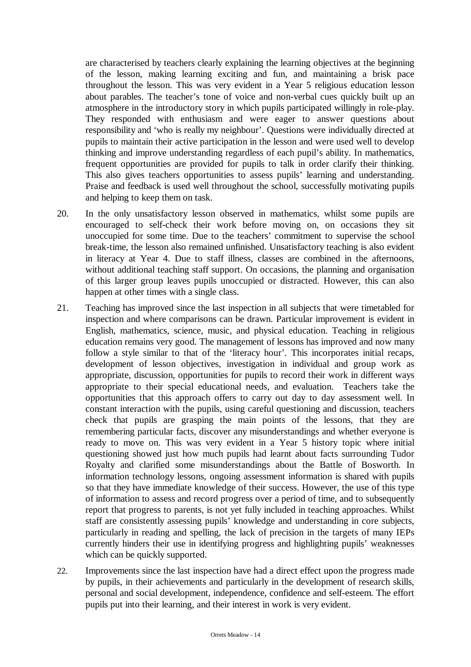are characterised by teachers clearly explaining the learning objectives at the beginning of the lesson, making learning exciting and fun, and maintaining a brisk pace throughout the lesson. This was very evident in a Year 5 religious education lesson about parables. The teacher's tone of voice and non-verbal cues quickly built up an atmosphere in the introductory story in which pupils participated willingly in role-play. They responded with enthusiasm and were eager to answer questions about responsibility and 'who is really my neighbour'. Questions were individually directed at pupils to maintain their active participation in the lesson and were used well to develop thinking and improve understanding regardless of each pupil's ability. In mathematics, frequent opportunities are provided for pupils to talk in order clarify their thinking. This also gives teachers opportunities to assess pupils' learning and understanding. Praise and feedback is used well throughout the school, successfully motivating pupils and helping to keep them on task.

- 20. In the only unsatisfactory lesson observed in mathematics, whilst some pupils are encouraged to self-check their work before moving on, on occasions they sit unoccupied for some time. Due to the teachers' commitment to supervise the school break-time, the lesson also remained unfinished. Unsatisfactory teaching is also evident in literacy at Year 4. Due to staff illness, classes are combined in the afternoons, without additional teaching staff support. On occasions, the planning and organisation of this larger group leaves pupils unoccupied or distracted. However, this can also happen at other times with a single class.
- 21. Teaching has improved since the last inspection in all subjects that were timetabled for inspection and where comparisons can be drawn. Particular improvement is evident in English, mathematics, science, music, and physical education. Teaching in religious education remains very good. The management of lessons has improved and now many follow a style similar to that of the 'literacy hour'. This incorporates initial recaps, development of lesson objectives, investigation in individual and group work as appropriate, discussion, opportunities for pupils to record their work in different ways appropriate to their special educational needs, and evaluation. Teachers take the opportunities that this approach offers to carry out day to day assessment well. In constant interaction with the pupils, using careful questioning and discussion, teachers check that pupils are grasping the main points of the lessons, that they are remembering particular facts, discover any misunderstandings and whether everyone is ready to move on. This was very evident in a Year 5 history topic where initial questioning showed just how much pupils had learnt about facts surrounding Tudor Royalty and clarified some misunderstandings about the Battle of Bosworth. In information technology lessons, ongoing assessment information is shared with pupils so that they have immediate knowledge of their success. However, the use of this type of information to assess and record progress over a period of time, and to subsequently report that progress to parents, is not yet fully included in teaching approaches. Whilst staff are consistently assessing pupils' knowledge and understanding in core subjects, particularly in reading and spelling, the lack of precision in the targets of many IEPs currently hinders their use in identifying progress and highlighting pupils' weaknesses which can be quickly supported.
- 22. Improvements since the last inspection have had a direct effect upon the progress made by pupils, in their achievements and particularly in the development of research skills, personal and social development, independence, confidence and self-esteem. The effort pupils put into their learning, and their interest in work is very evident.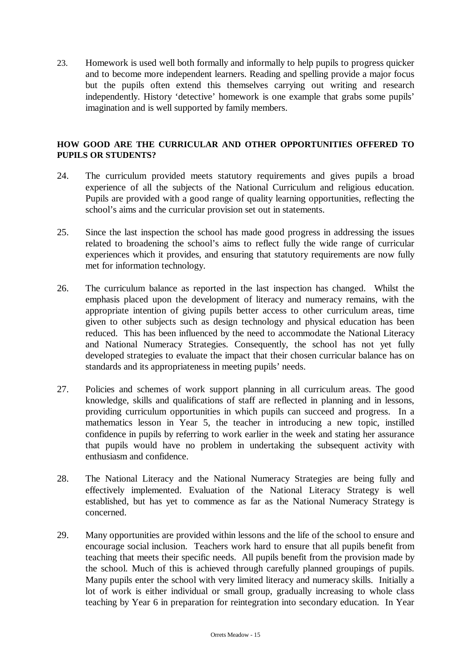23. Homework is used well both formally and informally to help pupils to progress quicker and to become more independent learners. Reading and spelling provide a major focus but the pupils often extend this themselves carrying out writing and research independently. History 'detective' homework is one example that grabs some pupils' imagination and is well supported by family members.

# **HOW GOOD ARE THE CURRICULAR AND OTHER OPPORTUNITIES OFFERED TO PUPILS OR STUDENTS?**

- 24. The curriculum provided meets statutory requirements and gives pupils a broad experience of all the subjects of the National Curriculum and religious education. Pupils are provided with a good range of quality learning opportunities, reflecting the school's aims and the curricular provision set out in statements.
- 25. Since the last inspection the school has made good progress in addressing the issues related to broadening the school's aims to reflect fully the wide range of curricular experiences which it provides, and ensuring that statutory requirements are now fully met for information technology.
- 26. The curriculum balance as reported in the last inspection has changed. Whilst the emphasis placed upon the development of literacy and numeracy remains, with the appropriate intention of giving pupils better access to other curriculum areas, time given to other subjects such as design technology and physical education has been reduced. This has been influenced by the need to accommodate the National Literacy and National Numeracy Strategies. Consequently, the school has not yet fully developed strategies to evaluate the impact that their chosen curricular balance has on standards and its appropriateness in meeting pupils' needs.
- 27. Policies and schemes of work support planning in all curriculum areas. The good knowledge, skills and qualifications of staff are reflected in planning and in lessons, providing curriculum opportunities in which pupils can succeed and progress. In a mathematics lesson in Year 5, the teacher in introducing a new topic, instilled confidence in pupils by referring to work earlier in the week and stating her assurance that pupils would have no problem in undertaking the subsequent activity with enthusiasm and confidence.
- 28. The National Literacy and the National Numeracy Strategies are being fully and effectively implemented. Evaluation of the National Literacy Strategy is well established, but has yet to commence as far as the National Numeracy Strategy is concerned.
- 29. Many opportunities are provided within lessons and the life of the school to ensure and encourage social inclusion. Teachers work hard to ensure that all pupils benefit from teaching that meets their specific needs. All pupils benefit from the provision made by the school. Much of this is achieved through carefully planned groupings of pupils. Many pupils enter the school with very limited literacy and numeracy skills. Initially a lot of work is either individual or small group, gradually increasing to whole class teaching by Year 6 in preparation for reintegration into secondary education. In Year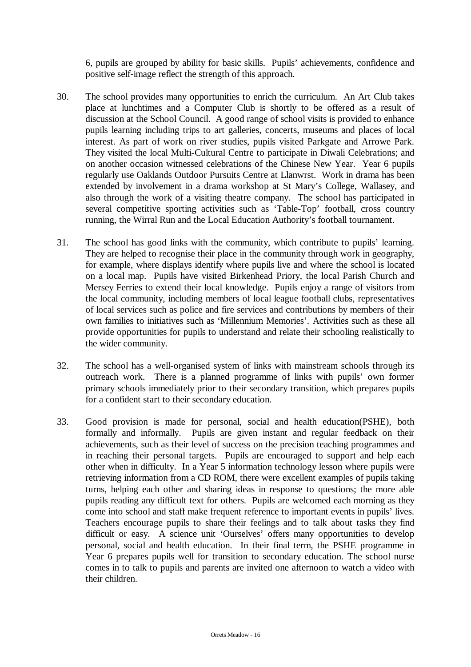6, pupils are grouped by ability for basic skills. Pupils' achievements, confidence and positive self-image reflect the strength of this approach.

- 30. The school provides many opportunities to enrich the curriculum. An Art Club takes place at lunchtimes and a Computer Club is shortly to be offered as a result of discussion at the School Council. A good range of school visits is provided to enhance pupils learning including trips to art galleries, concerts, museums and places of local interest. As part of work on river studies, pupils visited Parkgate and Arrowe Park. They visited the local Multi-Cultural Centre to participate in Diwali Celebrations; and on another occasion witnessed celebrations of the Chinese New Year. Year 6 pupils regularly use Oaklands Outdoor Pursuits Centre at Llanwrst. Work in drama has been extended by involvement in a drama workshop at St Mary's College, Wallasey, and also through the work of a visiting theatre company. The school has participated in several competitive sporting activities such as 'Table-Top' football, cross country running, the Wirral Run and the Local Education Authority's football tournament.
- 31. The school has good links with the community, which contribute to pupils' learning. They are helped to recognise their place in the community through work in geography, for example, where displays identify where pupils live and where the school is located on a local map. Pupils have visited Birkenhead Priory, the local Parish Church and Mersey Ferries to extend their local knowledge. Pupils enjoy a range of visitors from the local community, including members of local league football clubs, representatives of local services such as police and fire services and contributions by members of their own families to initiatives such as 'Millennium Memories'. Activities such as these all provide opportunities for pupils to understand and relate their schooling realistically to the wider community.
- 32. The school has a well-organised system of links with mainstream schools through its outreach work. There is a planned programme of links with pupils' own former primary schools immediately prior to their secondary transition, which prepares pupils for a confident start to their secondary education.
- 33. Good provision is made for personal, social and health education(PSHE), both formally and informally. Pupils are given instant and regular feedback on their achievements, such as their level of success on the precision teaching programmes and in reaching their personal targets. Pupils are encouraged to support and help each other when in difficulty. In a Year 5 information technology lesson where pupils were retrieving information from a CD ROM, there were excellent examples of pupils taking turns, helping each other and sharing ideas in response to questions; the more able pupils reading any difficult text for others. Pupils are welcomed each morning as they come into school and staff make frequent reference to important events in pupils' lives. Teachers encourage pupils to share their feelings and to talk about tasks they find difficult or easy. A science unit 'Ourselves' offers many opportunities to develop personal, social and health education. In their final term, the PSHE programme in Year 6 prepares pupils well for transition to secondary education. The school nurse comes in to talk to pupils and parents are invited one afternoon to watch a video with their children.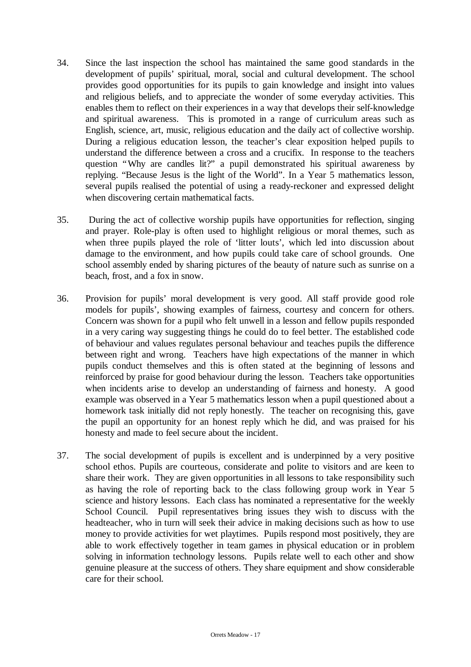- 34. Since the last inspection the school has maintained the same good standards in the development of pupils' spiritual, moral, social and cultural development. The school provides good opportunities for its pupils to gain knowledge and insight into values and religious beliefs, and to appreciate the wonder of some everyday activities. This enables them to reflect on their experiences in a way that develops their self-knowledge and spiritual awareness. This is promoted in a range of curriculum areas such as English, science, art, music, religious education and the daily act of collective worship. During a religious education lesson, the teacher's clear exposition helped pupils to understand the difference between a cross and a crucifix. In response to the teachers question "Why are candles lit?" a pupil demonstrated his spiritual awareness by replying. "Because Jesus is the light of the World". In a Year 5 mathematics lesson, several pupils realised the potential of using a ready-reckoner and expressed delight when discovering certain mathematical facts.
- 35. During the act of collective worship pupils have opportunities for reflection, singing and prayer. Role-play is often used to highlight religious or moral themes, such as when three pupils played the role of 'litter louts', which led into discussion about damage to the environment, and how pupils could take care of school grounds. One school assembly ended by sharing pictures of the beauty of nature such as sunrise on a beach, frost, and a fox in snow.
- 36. Provision for pupils' moral development is very good. All staff provide good role models for pupils', showing examples of fairness, courtesy and concern for others. Concern was shown for a pupil who felt unwell in a lesson and fellow pupils responded in a very caring way suggesting things he could do to feel better. The established code of behaviour and values regulates personal behaviour and teaches pupils the difference between right and wrong. Teachers have high expectations of the manner in which pupils conduct themselves and this is often stated at the beginning of lessons and reinforced by praise for good behaviour during the lesson. Teachers take opportunities when incidents arise to develop an understanding of fairness and honesty. A good example was observed in a Year 5 mathematics lesson when a pupil questioned about a homework task initially did not reply honestly. The teacher on recognising this, gave the pupil an opportunity for an honest reply which he did, and was praised for his honesty and made to feel secure about the incident.
- 37. The social development of pupils is excellent and is underpinned by a very positive school ethos. Pupils are courteous, considerate and polite to visitors and are keen to share their work. They are given opportunities in all lessons to take responsibility such as having the role of reporting back to the class following group work in Year 5 science and history lessons. Each class has nominated a representative for the weekly School Council. Pupil representatives bring issues they wish to discuss with the headteacher, who in turn will seek their advice in making decisions such as how to use money to provide activities for wet playtimes. Pupils respond most positively, they are able to work effectively together in team games in physical education or in problem solving in information technology lessons. Pupils relate well to each other and show genuine pleasure at the success of others. They share equipment and show considerable care for their school.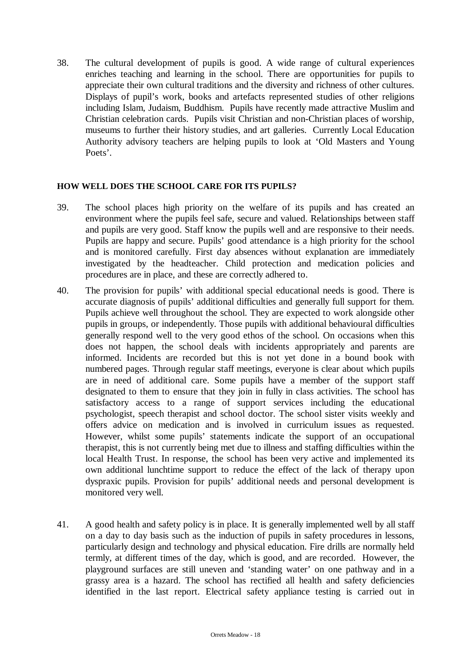38. The cultural development of pupils is good. A wide range of cultural experiences enriches teaching and learning in the school. There are opportunities for pupils to appreciate their own cultural traditions and the diversity and richness of other cultures. Displays of pupil's work, books and artefacts represented studies of other religions including Islam, Judaism, Buddhism. Pupils have recently made attractive Muslim and Christian celebration cards. Pupils visit Christian and non-Christian places of worship, museums to further their history studies, and art galleries. Currently Local Education Authority advisory teachers are helping pupils to look at 'Old Masters and Young Poets'.

# **HOW WELL DOES THE SCHOOL CARE FOR ITS PUPILS?**

- 39. The school places high priority on the welfare of its pupils and has created an environment where the pupils feel safe, secure and valued. Relationships between staff and pupils are very good. Staff know the pupils well and are responsive to their needs. Pupils are happy and secure. Pupils' good attendance is a high priority for the school and is monitored carefully. First day absences without explanation are immediately investigated by the headteacher. Child protection and medication policies and procedures are in place, and these are correctly adhered to.
- 40. The provision for pupils' with additional special educational needs is good. There is accurate diagnosis of pupils' additional difficulties and generally full support for them. Pupils achieve well throughout the school. They are expected to work alongside other pupils in groups, or independently. Those pupils with additional behavioural difficulties generally respond well to the very good ethos of the school. On occasions when this does not happen, the school deals with incidents appropriately and parents are informed. Incidents are recorded but this is not yet done in a bound book with numbered pages. Through regular staff meetings, everyone is clear about which pupils are in need of additional care. Some pupils have a member of the support staff designated to them to ensure that they join in fully in class activities. The school has satisfactory access to a range of support services including the educational psychologist, speech therapist and school doctor. The school sister visits weekly and offers advice on medication and is involved in curriculum issues as requested. However, whilst some pupils' statements indicate the support of an occupational therapist, this is not currently being met due to illness and staffing difficulties within the local Health Trust. In response, the school has been very active and implemented its own additional lunchtime support to reduce the effect of the lack of therapy upon dyspraxic pupils. Provision for pupils' additional needs and personal development is monitored very well.
- 41. A good health and safety policy is in place. It is generally implemented well by all staff on a day to day basis such as the induction of pupils in safety procedures in lessons, particularly design and technology and physical education. Fire drills are normally held termly, at different times of the day, which is good, and are recorded. However, the playground surfaces are still uneven and 'standing water' on one pathway and in a grassy area is a hazard. The school has rectified all health and safety deficiencies identified in the last report. Electrical safety appliance testing is carried out in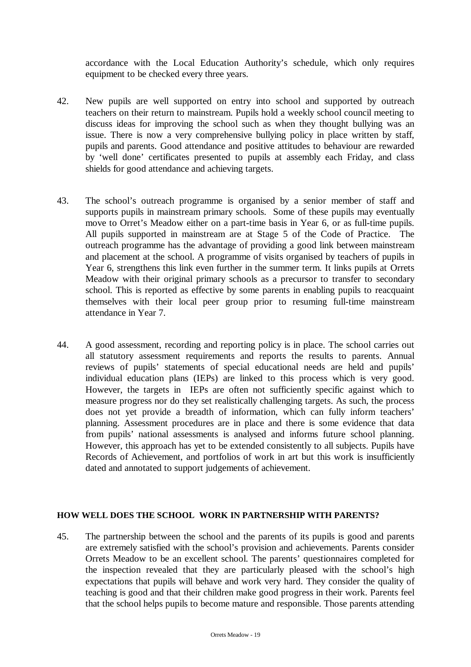accordance with the Local Education Authority's schedule, which only requires equipment to be checked every three years.

- 42. New pupils are well supported on entry into school and supported by outreach teachers on their return to mainstream. Pupils hold a weekly school council meeting to discuss ideas for improving the school such as when they thought bullying was an issue. There is now a very comprehensive bullying policy in place written by staff, pupils and parents. Good attendance and positive attitudes to behaviour are rewarded by 'well done' certificates presented to pupils at assembly each Friday, and class shields for good attendance and achieving targets.
- 43. The school's outreach programme is organised by a senior member of staff and supports pupils in mainstream primary schools. Some of these pupils may eventually move to Orret's Meadow either on a part-time basis in Year 6, or as full-time pupils. All pupils supported in mainstream are at Stage 5 of the Code of Practice. The outreach programme has the advantage of providing a good link between mainstream and placement at the school. A programme of visits organised by teachers of pupils in Year 6, strengthens this link even further in the summer term. It links pupils at Orrets Meadow with their original primary schools as a precursor to transfer to secondary school. This is reported as effective by some parents in enabling pupils to reacquaint themselves with their local peer group prior to resuming full-time mainstream attendance in Year 7.
- 44. A good assessment, recording and reporting policy is in place. The school carries out all statutory assessment requirements and reports the results to parents. Annual reviews of pupils' statements of special educational needs are held and pupils' individual education plans (IEPs) are linked to this process which is very good. However, the targets in IEPs are often not sufficiently specific against which to measure progress nor do they set realistically challenging targets. As such, the process does not yet provide a breadth of information, which can fully inform teachers' planning. Assessment procedures are in place and there is some evidence that data from pupils' national assessments is analysed and informs future school planning. However, this approach has yet to be extended consistently to all subjects. Pupils have Records of Achievement, and portfolios of work in art but this work is insufficiently dated and annotated to support judgements of achievement.

## **HOW WELL DOES THE SCHOOL WORK IN PARTNERSHIP WITH PARENTS?**

45. The partnership between the school and the parents of its pupils is good and parents are extremely satisfied with the school's provision and achievements. Parents consider Orrets Meadow to be an excellent school. The parents' questionnaires completed for the inspection revealed that they are particularly pleased with the school's high expectations that pupils will behave and work very hard. They consider the quality of teaching is good and that their children make good progress in their work. Parents feel that the school helps pupils to become mature and responsible. Those parents attending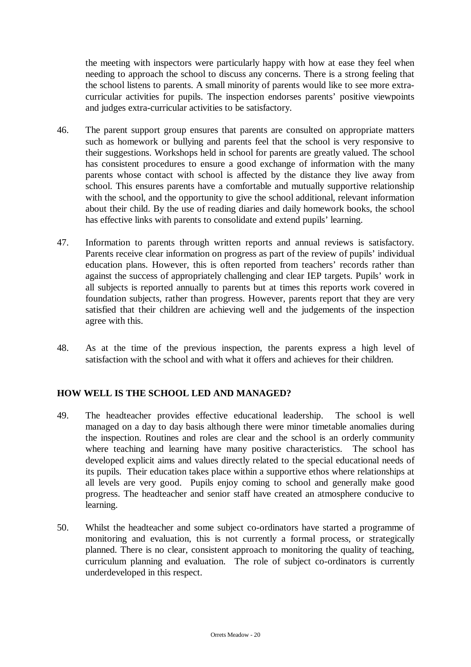the meeting with inspectors were particularly happy with how at ease they feel when needing to approach the school to discuss any concerns. There is a strong feeling that the school listens to parents. A small minority of parents would like to see more extracurricular activities for pupils. The inspection endorses parents' positive viewpoints and judges extra-curricular activities to be satisfactory.

- 46. The parent support group ensures that parents are consulted on appropriate matters such as homework or bullying and parents feel that the school is very responsive to their suggestions. Workshops held in school for parents are greatly valued. The school has consistent procedures to ensure a good exchange of information with the many parents whose contact with school is affected by the distance they live away from school. This ensures parents have a comfortable and mutually supportive relationship with the school, and the opportunity to give the school additional, relevant information about their child. By the use of reading diaries and daily homework books, the school has effective links with parents to consolidate and extend pupils' learning.
- 47. Information to parents through written reports and annual reviews is satisfactory. Parents receive clear information on progress as part of the review of pupils' individual education plans. However, this is often reported from teachers' records rather than against the success of appropriately challenging and clear IEP targets. Pupils' work in all subjects is reported annually to parents but at times this reports work covered in foundation subjects, rather than progress. However, parents report that they are very satisfied that their children are achieving well and the judgements of the inspection agree with this.
- 48. As at the time of the previous inspection, the parents express a high level of satisfaction with the school and with what it offers and achieves for their children.

# **HOW WELL IS THE SCHOOL LED AND MANAGED?**

- 49. The headteacher provides effective educational leadership. The school is well managed on a day to day basis although there were minor timetable anomalies during the inspection. Routines and roles are clear and the school is an orderly community where teaching and learning have many positive characteristics. The school has developed explicit aims and values directly related to the special educational needs of its pupils. Their education takes place within a supportive ethos where relationships at all levels are very good. Pupils enjoy coming to school and generally make good progress. The headteacher and senior staff have created an atmosphere conducive to learning.
- 50. Whilst the headteacher and some subject co-ordinators have started a programme of monitoring and evaluation, this is not currently a formal process, or strategically planned. There is no clear, consistent approach to monitoring the quality of teaching, curriculum planning and evaluation. The role of subject co-ordinators is currently underdeveloped in this respect.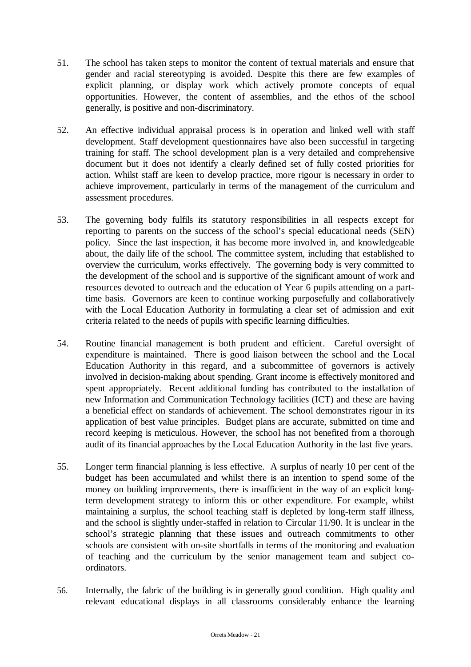- 51. The school has taken steps to monitor the content of textual materials and ensure that gender and racial stereotyping is avoided. Despite this there are few examples of explicit planning, or display work which actively promote concepts of equal opportunities. However, the content of assemblies, and the ethos of the school generally, is positive and non-discriminatory.
- 52. An effective individual appraisal process is in operation and linked well with staff development. Staff development questionnaires have also been successful in targeting training for staff. The school development plan is a very detailed and comprehensive document but it does not identify a clearly defined set of fully costed priorities for action. Whilst staff are keen to develop practice, more rigour is necessary in order to achieve improvement, particularly in terms of the management of the curriculum and assessment procedures.
- 53. The governing body fulfils its statutory responsibilities in all respects except for reporting to parents on the success of the school's special educational needs (SEN) policy. Since the last inspection, it has become more involved in, and knowledgeable about, the daily life of the school. The committee system, including that established to overview the curriculum, works effectively. The governing body is very committed to the development of the school and is supportive of the significant amount of work and resources devoted to outreach and the education of Year 6 pupils attending on a parttime basis. Governors are keen to continue working purposefully and collaboratively with the Local Education Authority in formulating a clear set of admission and exit criteria related to the needs of pupils with specific learning difficulties.
- 54. Routine financial management is both prudent and efficient. Careful oversight of expenditure is maintained. There is good liaison between the school and the Local Education Authority in this regard, and a subcommittee of governors is actively involved in decision-making about spending. Grant income is effectively monitored and spent appropriately. Recent additional funding has contributed to the installation of new Information and Communication Technology facilities (ICT) and these are having a beneficial effect on standards of achievement. The school demonstrates rigour in its application of best value principles. Budget plans are accurate, submitted on time and record keeping is meticulous. However, the school has not benefited from a thorough audit of its financial approaches by the Local Education Authority in the last five years.
- 55. Longer term financial planning is less effective. A surplus of nearly 10 per cent of the budget has been accumulated and whilst there is an intention to spend some of the money on building improvements, there is insufficient in the way of an explicit longterm development strategy to inform this or other expenditure. For example, whilst maintaining a surplus, the school teaching staff is depleted by long-term staff illness, and the school is slightly under-staffed in relation to Circular 11/90. It is unclear in the school's strategic planning that these issues and outreach commitments to other schools are consistent with on-site shortfalls in terms of the monitoring and evaluation of teaching and the curriculum by the senior management team and subject coordinators.
- 56. Internally, the fabric of the building is in generally good condition. High quality and relevant educational displays in all classrooms considerably enhance the learning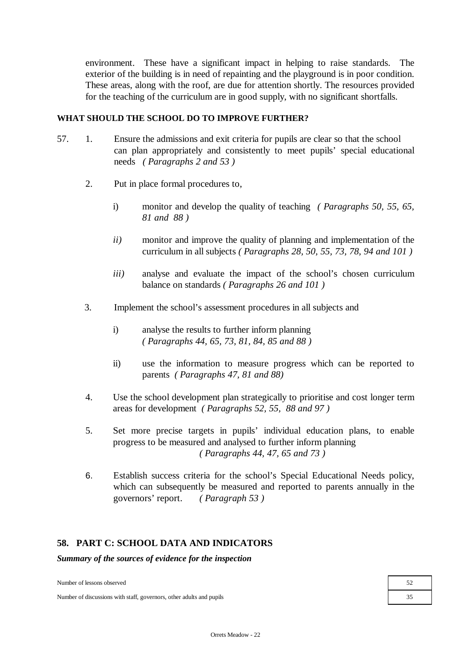environment. These have a significant impact in helping to raise standards. The exterior of the building is in need of repainting and the playground is in poor condition. These areas, along with the roof, are due for attention shortly. The resources provided for the teaching of the curriculum are in good supply, with no significant shortfalls.

## **WHAT SHOULD THE SCHOOL DO TO IMPROVE FURTHER?**

- 57. 1. Ensure the admissions and exit criteria for pupils are clear so that the school can plan appropriately and consistently to meet pupils' special educational needs *( Paragraphs 2 and 53 )*
	- 2. Put in place formal procedures to,
		- i) monitor and develop the quality of teaching *( Paragraphs 50, 55, 65, 81 and 88 )*
		- *ii)* monitor and improve the quality of planning and implementation of the curriculum in all subjects *( Paragraphs 28, 50, 55, 73, 78, 94 and 101 )*
		- *iii)* analyse and evaluate the impact of the school's chosen curriculum balance on standards *( Paragraphs 26 and 101 )*
	- 3. Implement the school's assessment procedures in all subjects and
		- i) analyse the results to further inform planning *( Paragraphs 44, 65, 73, 81, 84, 85 and 88 )*
		- ii) use the information to measure progress which can be reported to parents *( Paragraphs 47, 81 and 88)*
	- 4. Use the school development plan strategically to prioritise and cost longer term areas for development *( Paragraphs 52, 55, 88 and 97 )*
	- 5. Set more precise targets in pupils' individual education plans, to enable progress to be measured and analysed to further inform planning *( Paragraphs 44, 47, 65 and 73 )*
	- 6. Establish success criteria for the school's Special Educational Needs policy, which can subsequently be measured and reported to parents annually in the governors' report. *( Paragraph 53 )*

## **58. PART C: SCHOOL DATA AND INDICATORS**

*Summary of the sources of evidence for the inspection*

Number of lessons observed 52

Number of discussions with staff, governors, other adults and pupils 35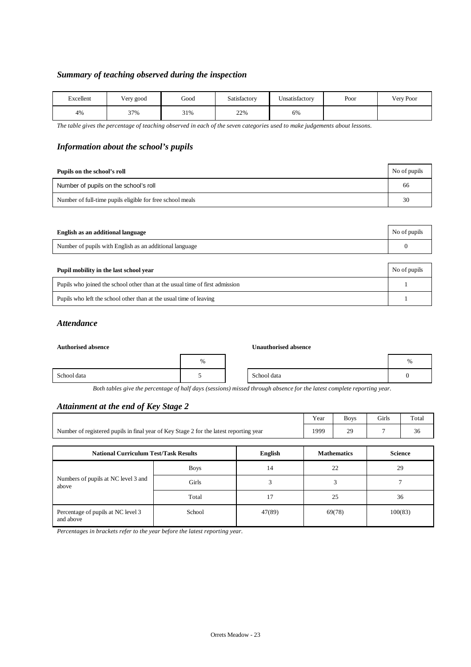## *Summary of teaching observed during the inspection*

| Excellent | Very good | Good | Satisfactory | $+ +$<br>Unsatisfactorv | Poor | Very Poor |
|-----------|-----------|------|--------------|-------------------------|------|-----------|
| 4%        | 37%       | 31%  | 22%          | 6%                      |      |           |

*The table gives the percentage of teaching observed in each of the seven categories used to make judgements about lessons.*

## *Information about the school's pupils*

| Pupils on the school's roll                               | No of pupils |
|-----------------------------------------------------------|--------------|
| Number of pupils on the school's roll                     | 66           |
| Number of full-time pupils eligible for free school meals | 30           |

| English as an additional language                       | No of pupils |
|---------------------------------------------------------|--------------|
| Number of pupils with English as an additional language |              |

| Pupil mobility in the last school year                                       | No of pupils |
|------------------------------------------------------------------------------|--------------|
| Pupils who joined the school other than at the usual time of first admission |              |
| Pupils who left the school other than at the usual time of leaving           |              |

### *Attendance*

#### **Authorised absence Unauthorised absence**

|             | $\%$ |             | % |
|-------------|------|-------------|---|
| School data |      | School data |   |

*Both tables give the percentage of half days (sessions) missed through absence for the latest complete reporting year.*

## *Attainment at the end of Key Stage 2*

|                                                                                        | Year | <b>Boys</b> | <b>Girls</b> | Total |
|----------------------------------------------------------------------------------------|------|-------------|--------------|-------|
| Number of registered pupils in final year of Key Stage 2 for the latest reporting year | 1999 | 29<br>,.    |              |       |

| <b>National Curriculum Test/Task Results</b>    |             | English | <b>Mathematics</b> | <b>Science</b> |
|-------------------------------------------------|-------------|---------|--------------------|----------------|
|                                                 | <b>Boys</b> | 14      | 22                 | 29             |
| Numbers of pupils at NC level 3 and<br>above    | Girls       |         |                    |                |
|                                                 | Total       | 17      | 25                 | 36             |
| Percentage of pupils at NC level 3<br>and above | School      | 47(89)  | 69(78)             | 100(83)        |

*Percentages in brackets refer to the year before the latest reporting year.*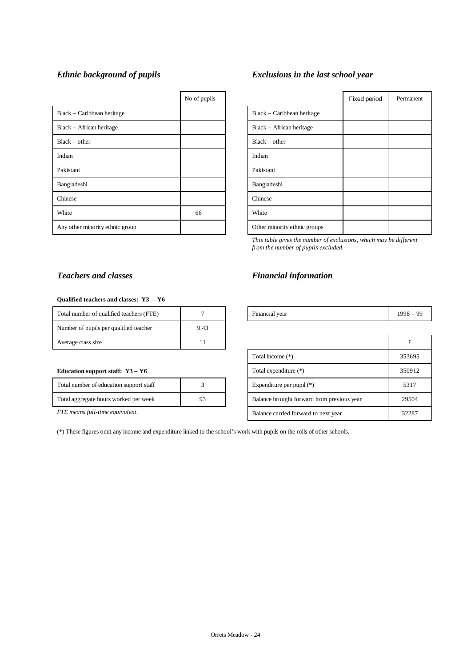|                                 | No of pupils |                              |
|---------------------------------|--------------|------------------------------|
| Black – Caribbean heritage      |              | Black – Caribbean heritage   |
| Black – African heritage        |              | Black – African heritage     |
| $Black - other$                 |              | $Black - other$              |
| Indian                          |              | Indian                       |
| Pakistani                       |              | Pakistani                    |
| Bangladeshi                     |              | Bangladeshi                  |
| Chinese                         |              | Chinese                      |
| White                           | 66           | White                        |
| Any other minority ethnic group |              | Other minority ethnic groups |

# *Ethnic background of pupils Exclusions in the last school year*

| No of pupils |                              | Fixed period | Permanent |
|--------------|------------------------------|--------------|-----------|
|              | Black – Caribbean heritage   |              |           |
|              | Black - African heritage     |              |           |
|              | $Black - other$              |              |           |
|              | Indian                       |              |           |
|              | Pakistani                    |              |           |
|              | Bangladeshi                  |              |           |
|              | Chinese                      |              |           |
| 66           | White                        |              |           |
|              | Other minority ethnic groups |              |           |
|              |                              |              |           |

*This table gives the number of exclusions, which may be different from the number of pupils excluded.*

# *Teachers and classes Financial information*

| Total number of qualified teachers (FTE) |  | Financial vear | 008<br>$\alpha$ |
|------------------------------------------|--|----------------|-----------------|
|                                          |  |                |                 |

| Average class size                          | 11 |                                            | t      |
|---------------------------------------------|----|--------------------------------------------|--------|
|                                             |    | Total income (*)                           | 353695 |
| Education support staff: $Y3 - Y6$          |    | Total expenditure (*)                      | 350912 |
| Total number of education support staff     |    | Expenditure per pupil $(*)$                | 5317   |
| Total aggregate hours worked per week<br>93 |    | Balance brought forward from previous year | 29504  |
| FTE means full-time equivalent.             |    | Balance carried forward to next year       | 32287  |

### **Qualified teachers and classes: Y3 – Y6**

| Total number of qualified teachers (FTE) |      | Financial year | 1998 |
|------------------------------------------|------|----------------|------|
| Number of pupils per qualified teacher   | 9.43 |                |      |
| Average class size                       |      |                |      |

#### **Education support staff: Y3 - Y6**

| Total number of education support staff |    |
|-----------------------------------------|----|
| Total aggregate hours worked per week   | 93 |
|                                         |    |

(\*) These figures omit any income and expenditure linked to the school's work with pupils on the rolls of other schools.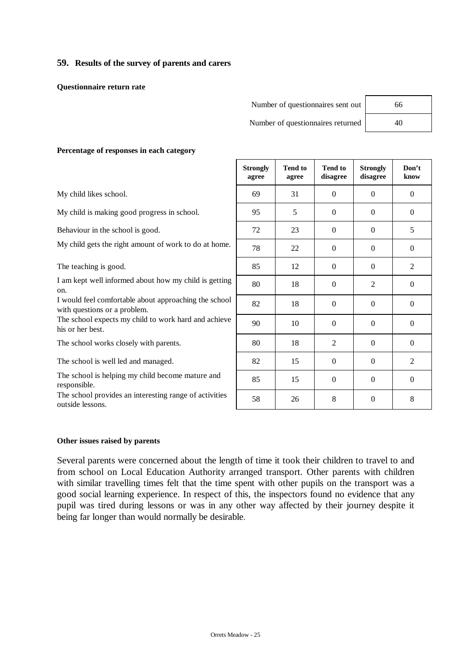## **59. Results of the survey of parents and carers**

**Questionnaire return rate**

| Number of questionnaires sent out | 66 |
|-----------------------------------|----|
|-----------------------------------|----|

Number of questionnaires returned 40

### **Percentage of responses in each category**

My child likes school.

My child is making good progress in school.

Behaviour in the school is good.

My child gets the right amount of work to do at home.

The teaching is good.

I am kept well informed about how my child is getting on.

I would feel comfortable about approaching the school with questions or a problem.

The school expects my child to work hard and achieve his or her best.

The school works closely with parents.

The school is well led and managed.

The school is helping my child become mature and responsible.

The school provides an interesting range of activities outside lessons.

| <b>Tend to</b><br>agree | <b>Tend to</b><br>disagree | <b>Strongly</b><br>disagree | Don't<br>know    |
|-------------------------|----------------------------|-----------------------------|------------------|
| 31                      | $\boldsymbol{0}$           | $\boldsymbol{0}$            | $\boldsymbol{0}$ |
| 5                       | $\boldsymbol{0}$           | $\boldsymbol{0}$            | $\boldsymbol{0}$ |
| 23                      | $\boldsymbol{0}$           | $\boldsymbol{0}$            | 5                |
| 22                      | $\boldsymbol{0}$           | $\boldsymbol{0}$            | $\boldsymbol{0}$ |
| 12                      | $\boldsymbol{0}$           | $\mathbf{0}$                | $\overline{2}$   |
| 18                      | $\boldsymbol{0}$           | $\mathfrak{2}$              | $\boldsymbol{0}$ |
| 18                      | $\boldsymbol{0}$           | $\boldsymbol{0}$            | $\boldsymbol{0}$ |
| 10                      | $\mathbf{0}$               | $\theta$                    | $\boldsymbol{0}$ |
| 18                      | $\overline{2}$             | $\boldsymbol{0}$            | $\boldsymbol{0}$ |
| 15                      | $\boldsymbol{0}$           | $\boldsymbol{0}$            | $\mathbf{2}$     |
| 15                      | $\boldsymbol{0}$           | $\overline{0}$              | $\boldsymbol{0}$ |
| 26                      | 8                          | $\overline{0}$              | 8                |
|                         |                            |                             |                  |

#### **Other issues raised by parents**

Several parents were concerned about the length of time it took their children to travel to and from school on Local Education Authority arranged transport. Other parents with children with similar travelling times felt that the time spent with other pupils on the transport was a good social learning experience. In respect of this, the inspectors found no evidence that any pupil was tired during lessons or was in any other way affected by their journey despite it being far longer than would normally be desirable.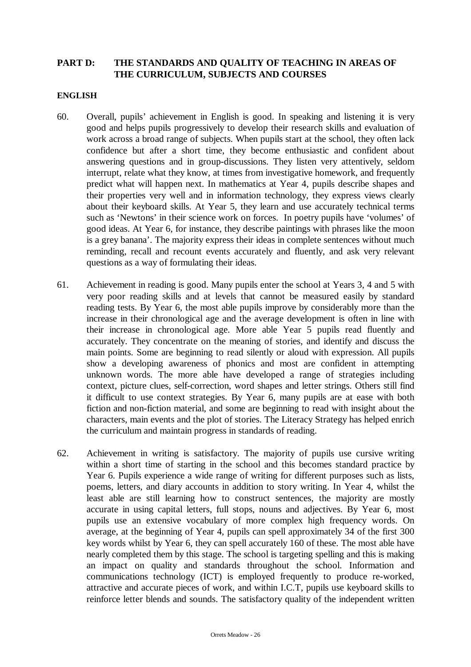# **PART D: THE STANDARDS AND QUALITY OF TEACHING IN AREAS OF THE CURRICULUM, SUBJECTS AND COURSES**

## **ENGLISH**

- 60. Overall, pupils' achievement in English is good. In speaking and listening it is very good and helps pupils progressively to develop their research skills and evaluation of work across a broad range of subjects. When pupils start at the school, they often lack confidence but after a short time, they become enthusiastic and confident about answering questions and in group-discussions. They listen very attentively, seldom interrupt, relate what they know, at times from investigative homework, and frequently predict what will happen next. In mathematics at Year 4, pupils describe shapes and their properties very well and in information technology, they express views clearly about their keyboard skills. At Year 5, they learn and use accurately technical terms such as 'Newtons' in their science work on forces. In poetry pupils have 'volumes' of good ideas. At Year 6, for instance, they describe paintings with phrases like the moon is a grey banana'. The majority express their ideas in complete sentences without much reminding, recall and recount events accurately and fluently, and ask very relevant questions as a way of formulating their ideas.
- 61. Achievement in reading is good. Many pupils enter the school at Years 3, 4 and 5 with very poor reading skills and at levels that cannot be measured easily by standard reading tests. By Year 6, the most able pupils improve by considerably more than the increase in their chronological age and the average development is often in line with their increase in chronological age. More able Year 5 pupils read fluently and accurately. They concentrate on the meaning of stories, and identify and discuss the main points. Some are beginning to read silently or aloud with expression. All pupils show a developing awareness of phonics and most are confident in attempting unknown words. The more able have developed a range of strategies including context, picture clues, self-correction, word shapes and letter strings. Others still find it difficult to use context strategies. By Year 6, many pupils are at ease with both fiction and non-fiction material, and some are beginning to read with insight about the characters, main events and the plot of stories. The Literacy Strategy has helped enrich the curriculum and maintain progress in standards of reading.
- 62. Achievement in writing is satisfactory. The majority of pupils use cursive writing within a short time of starting in the school and this becomes standard practice by Year 6. Pupils experience a wide range of writing for different purposes such as lists, poems, letters, and diary accounts in addition to story writing. In Year 4, whilst the least able are still learning how to construct sentences, the majority are mostly accurate in using capital letters, full stops, nouns and adjectives. By Year 6, most pupils use an extensive vocabulary of more complex high frequency words. On average, at the beginning of Year 4, pupils can spell approximately 34 of the first 300 key words whilst by Year 6, they can spell accurately 160 of these. The most able have nearly completed them by this stage. The school is targeting spelling and this is making an impact on quality and standards throughout the school. Information and communications technology (ICT) is employed frequently to produce re-worked, attractive and accurate pieces of work, and within I.C.T, pupils use keyboard skills to reinforce letter blends and sounds. The satisfactory quality of the independent written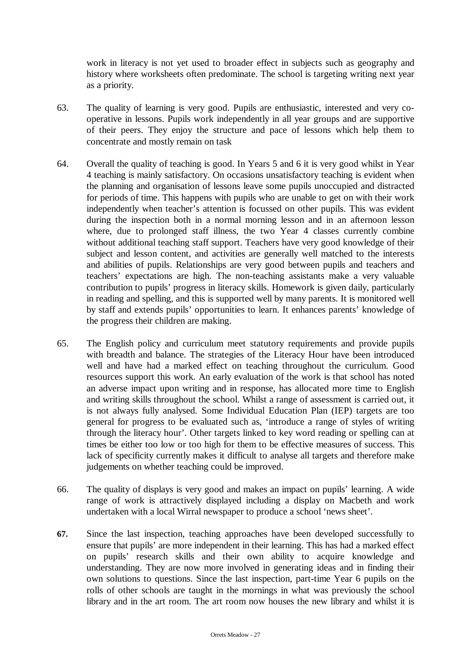work in literacy is not yet used to broader effect in subjects such as geography and history where worksheets often predominate. The school is targeting writing next year as a priority.

- 63. The quality of learning is very good. Pupils are enthusiastic, interested and very cooperative in lessons. Pupils work independently in all year groups and are supportive of their peers. They enjoy the structure and pace of lessons which help them to concentrate and mostly remain on task
- 64. Overall the quality of teaching is good. In Years 5 and 6 it is very good whilst in Year 4 teaching is mainly satisfactory. On occasions unsatisfactory teaching is evident when the planning and organisation of lessons leave some pupils unoccupied and distracted for periods of time. This happens with pupils who are unable to get on with their work independently when teacher's attention is focussed on other pupils. This was evident during the inspection both in a normal morning lesson and in an afternoon lesson where, due to prolonged staff illness, the two Year 4 classes currently combine without additional teaching staff support. Teachers have very good knowledge of their subject and lesson content, and activities are generally well matched to the interests and abilities of pupils. Relationships are very good between pupils and teachers and teachers' expectations are high. The non-teaching assistants make a very valuable contribution to pupils' progress in literacy skills. Homework is given daily, particularly in reading and spelling, and this is supported well by many parents. It is monitored well by staff and extends pupils' opportunities to learn. It enhances parents' knowledge of the progress their children are making.
- 65. The English policy and curriculum meet statutory requirements and provide pupils with breadth and balance. The strategies of the Literacy Hour have been introduced well and have had a marked effect on teaching throughout the curriculum. Good resources support this work. An early evaluation of the work is that school has noted an adverse impact upon writing and in response, has allocated more time to English and writing skills throughout the school. Whilst a range of assessment is carried out, it is not always fully analysed. Some Individual Education Plan (IEP) targets are too general for progress to be evaluated such as, 'introduce a range of styles of writing through the literacy hour'. Other targets linked to key word reading or spelling can at times be either too low or too high for them to be effective measures of success. This lack of specificity currently makes it difficult to analyse all targets and therefore make judgements on whether teaching could be improved.
- 66. The quality of displays is very good and makes an impact on pupils' learning. A wide range of work is attractively displayed including a display on Macbeth and work undertaken with a local Wirral newspaper to produce a school 'news sheet'.
- **67.** Since the last inspection, teaching approaches have been developed successfully to ensure that pupils' are more independent in their learning. This has had a marked effect on pupils' research skills and their own ability to acquire knowledge and understanding. They are now more involved in generating ideas and in finding their own solutions to questions. Since the last inspection, part-time Year 6 pupils on the rolls of other schools are taught in the mornings in what was previously the school library and in the art room. The art room now houses the new library and whilst it is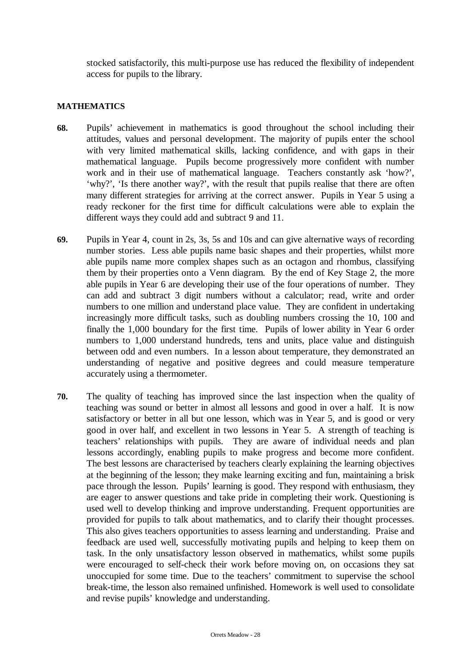stocked satisfactorily, this multi-purpose use has reduced the flexibility of independent access for pupils to the library.

## **MATHEMATICS**

- **68.** Pupils' achievement in mathematics is good throughout the school including their attitudes, values and personal development. The majority of pupils enter the school with very limited mathematical skills, lacking confidence, and with gaps in their mathematical language. Pupils become progressively more confident with number work and in their use of mathematical language. Teachers constantly ask 'how?', 'why?', 'Is there another way?', with the result that pupils realise that there are often many different strategies for arriving at the correct answer. Pupils in Year 5 using a ready reckoner for the first time for difficult calculations were able to explain the different ways they could add and subtract 9 and 11.
- **69.** Pupils in Year 4, count in 2s, 3s, 5s and 10s and can give alternative ways of recording number stories. Less able pupils name basic shapes and their properties, whilst more able pupils name more complex shapes such as an octagon and rhombus, classifying them by their properties onto a Venn diagram. By the end of Key Stage 2, the more able pupils in Year 6 are developing their use of the four operations of number. They can add and subtract 3 digit numbers without a calculator; read, write and order numbers to one million and understand place value. They are confident in undertaking increasingly more difficult tasks, such as doubling numbers crossing the 10, 100 and finally the 1,000 boundary for the first time. Pupils of lower ability in Year 6 order numbers to 1,000 understand hundreds, tens and units, place value and distinguish between odd and even numbers. In a lesson about temperature, they demonstrated an understanding of negative and positive degrees and could measure temperature accurately using a thermometer.
- **70.** The quality of teaching has improved since the last inspection when the quality of teaching was sound or better in almost all lessons and good in over a half. It is now satisfactory or better in all but one lesson, which was in Year 5, and is good or very good in over half, and excellent in two lessons in Year 5. A strength of teaching is teachers' relationships with pupils. They are aware of individual needs and plan lessons accordingly, enabling pupils to make progress and become more confident. The best lessons are characterised by teachers clearly explaining the learning objectives at the beginning of the lesson; they make learning exciting and fun, maintaining a brisk pace through the lesson. Pupils' learning is good. They respond with enthusiasm, they are eager to answer questions and take pride in completing their work. Questioning is used well to develop thinking and improve understanding. Frequent opportunities are provided for pupils to talk about mathematics, and to clarify their thought processes. This also gives teachers opportunities to assess learning and understanding. Praise and feedback are used well, successfully motivating pupils and helping to keep them on task. In the only unsatisfactory lesson observed in mathematics, whilst some pupils were encouraged to self-check their work before moving on, on occasions they sat unoccupied for some time. Due to the teachers' commitment to supervise the school break-time, the lesson also remained unfinished. Homework is well used to consolidate and revise pupils' knowledge and understanding.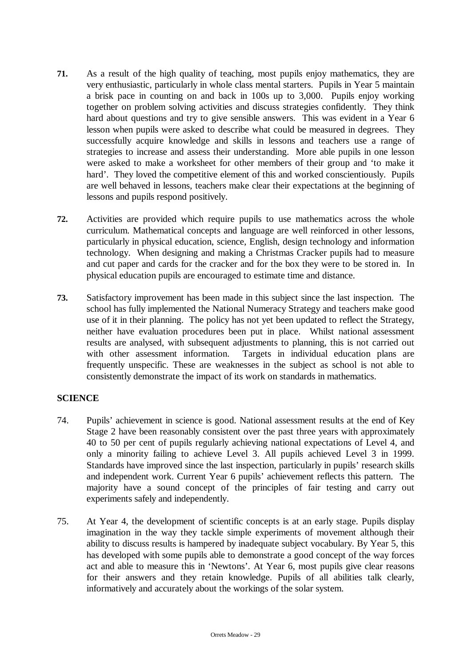- **71.** As a result of the high quality of teaching, most pupils enjoy mathematics, they are very enthusiastic, particularly in whole class mental starters. Pupils in Year 5 maintain a brisk pace in counting on and back in 100s up to 3,000. Pupils enjoy working together on problem solving activities and discuss strategies confidently. They think hard about questions and try to give sensible answers. This was evident in a Year 6 lesson when pupils were asked to describe what could be measured in degrees. They successfully acquire knowledge and skills in lessons and teachers use a range of strategies to increase and assess their understanding. More able pupils in one lesson were asked to make a worksheet for other members of their group and 'to make it hard'. They loved the competitive element of this and worked conscientiously. Pupils are well behaved in lessons, teachers make clear their expectations at the beginning of lessons and pupils respond positively.
- **72.** Activities are provided which require pupils to use mathematics across the whole curriculum. Mathematical concepts and language are well reinforced in other lessons, particularly in physical education, science, English, design technology and information technology. When designing and making a Christmas Cracker pupils had to measure and cut paper and cards for the cracker and for the box they were to be stored in. In physical education pupils are encouraged to estimate time and distance.
- **73.** Satisfactory improvement has been made in this subject since the last inspection. The school has fully implemented the National Numeracy Strategy and teachers make good use of it in their planning. The policy has not yet been updated to reflect the Strategy, neither have evaluation procedures been put in place. Whilst national assessment results are analysed, with subsequent adjustments to planning, this is not carried out with other assessment information. Targets in individual education plans are frequently unspecific. These are weaknesses in the subject as school is not able to consistently demonstrate the impact of its work on standards in mathematics.

# **SCIENCE**

- 74. Pupils' achievement in science is good. National assessment results at the end of Key Stage 2 have been reasonably consistent over the past three years with approximately 40 to 50 per cent of pupils regularly achieving national expectations of Level 4, and only a minority failing to achieve Level 3. All pupils achieved Level 3 in 1999. Standards have improved since the last inspection, particularly in pupils' research skills and independent work. Current Year 6 pupils' achievement reflects this pattern. The majority have a sound concept of the principles of fair testing and carry out experiments safely and independently.
- 75. At Year 4, the development of scientific concepts is at an early stage. Pupils display imagination in the way they tackle simple experiments of movement although their ability to discuss results is hampered by inadequate subject vocabulary. By Year 5, this has developed with some pupils able to demonstrate a good concept of the way forces act and able to measure this in 'Newtons'. At Year 6, most pupils give clear reasons for their answers and they retain knowledge. Pupils of all abilities talk clearly, informatively and accurately about the workings of the solar system.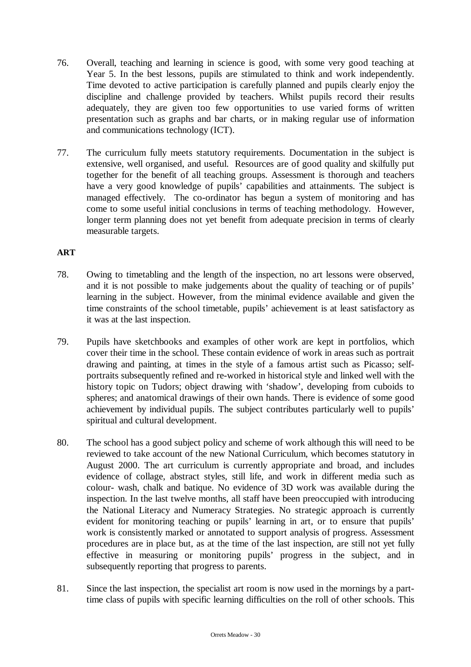- 76. Overall, teaching and learning in science is good, with some very good teaching at Year 5. In the best lessons, pupils are stimulated to think and work independently. Time devoted to active participation is carefully planned and pupils clearly enjoy the discipline and challenge provided by teachers. Whilst pupils record their results adequately, they are given too few opportunities to use varied forms of written presentation such as graphs and bar charts, or in making regular use of information and communications technology (ICT).
- 77. The curriculum fully meets statutory requirements. Documentation in the subject is extensive, well organised, and useful. Resources are of good quality and skilfully put together for the benefit of all teaching groups. Assessment is thorough and teachers have a very good knowledge of pupils' capabilities and attainments. The subject is managed effectively. The co-ordinator has begun a system of monitoring and has come to some useful initial conclusions in terms of teaching methodology. However, longer term planning does not yet benefit from adequate precision in terms of clearly measurable targets.

# **ART**

- 78. Owing to timetabling and the length of the inspection, no art lessons were observed, and it is not possible to make judgements about the quality of teaching or of pupils' learning in the subject. However, from the minimal evidence available and given the time constraints of the school timetable, pupils' achievement is at least satisfactory as it was at the last inspection.
- 79. Pupils have sketchbooks and examples of other work are kept in portfolios, which cover their time in the school. These contain evidence of work in areas such as portrait drawing and painting, at times in the style of a famous artist such as Picasso; selfportraits subsequently refined and re-worked in historical style and linked well with the history topic on Tudors; object drawing with 'shadow', developing from cuboids to spheres; and anatomical drawings of their own hands. There is evidence of some good achievement by individual pupils. The subject contributes particularly well to pupils' spiritual and cultural development.
- 80. The school has a good subject policy and scheme of work although this will need to be reviewed to take account of the new National Curriculum, which becomes statutory in August 2000. The art curriculum is currently appropriate and broad, and includes evidence of collage, abstract styles, still life, and work in different media such as colour- wash, chalk and batique. No evidence of 3D work was available during the inspection. In the last twelve months, all staff have been preoccupied with introducing the National Literacy and Numeracy Strategies. No strategic approach is currently evident for monitoring teaching or pupils' learning in art, or to ensure that pupils' work is consistently marked or annotated to support analysis of progress. Assessment procedures are in place but, as at the time of the last inspection, are still not yet fully effective in measuring or monitoring pupils' progress in the subject, and in subsequently reporting that progress to parents.
- 81. Since the last inspection, the specialist art room is now used in the mornings by a parttime class of pupils with specific learning difficulties on the roll of other schools. This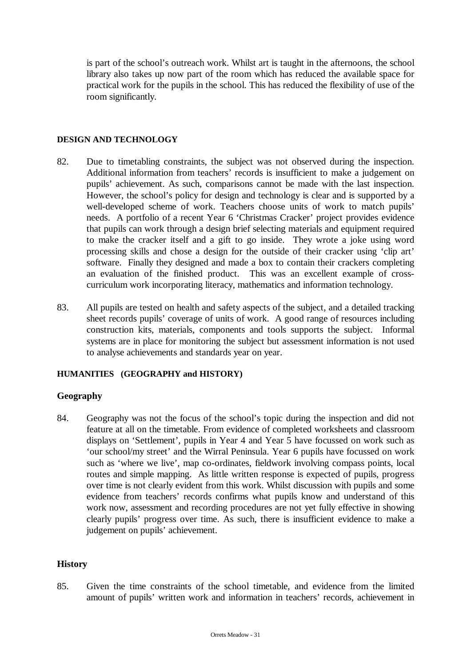is part of the school's outreach work. Whilst art is taught in the afternoons, the school library also takes up now part of the room which has reduced the available space for practical work for the pupils in the school. This has reduced the flexibility of use of the room significantly.

## **DESIGN AND TECHNOLOGY**

- 82. Due to timetabling constraints, the subject was not observed during the inspection. Additional information from teachers' records is insufficient to make a judgement on pupils' achievement. As such, comparisons cannot be made with the last inspection. However, the school's policy for design and technology is clear and is supported by a well-developed scheme of work. Teachers choose units of work to match pupils' needs. A portfolio of a recent Year 6 'Christmas Cracker' project provides evidence that pupils can work through a design brief selecting materials and equipment required to make the cracker itself and a gift to go inside. They wrote a joke using word processing skills and chose a design for the outside of their cracker using 'clip art' software. Finally they designed and made a box to contain their crackers completing an evaluation of the finished product. This was an excellent example of crosscurriculum work incorporating literacy, mathematics and information technology.
- 83. All pupils are tested on health and safety aspects of the subject, and a detailed tracking sheet records pupils' coverage of units of work. A good range of resources including construction kits, materials, components and tools supports the subject. Informal systems are in place for monitoring the subject but assessment information is not used to analyse achievements and standards year on year.

# **HUMANITIES (GEOGRAPHY and HISTORY)**

# **Geography**

84. Geography was not the focus of the school's topic during the inspection and did not feature at all on the timetable. From evidence of completed worksheets and classroom displays on 'Settlement', pupils in Year 4 and Year 5 have focussed on work such as 'our school/my street' and the Wirral Peninsula. Year 6 pupils have focussed on work such as 'where we live', map co-ordinates, fieldwork involving compass points, local routes and simple mapping. As little written response is expected of pupils, progress over time is not clearly evident from this work. Whilst discussion with pupils and some evidence from teachers' records confirms what pupils know and understand of this work now, assessment and recording procedures are not yet fully effective in showing clearly pupils' progress over time. As such, there is insufficient evidence to make a judgement on pupils' achievement.

## **History**

85. Given the time constraints of the school timetable, and evidence from the limited amount of pupils' written work and information in teachers' records, achievement in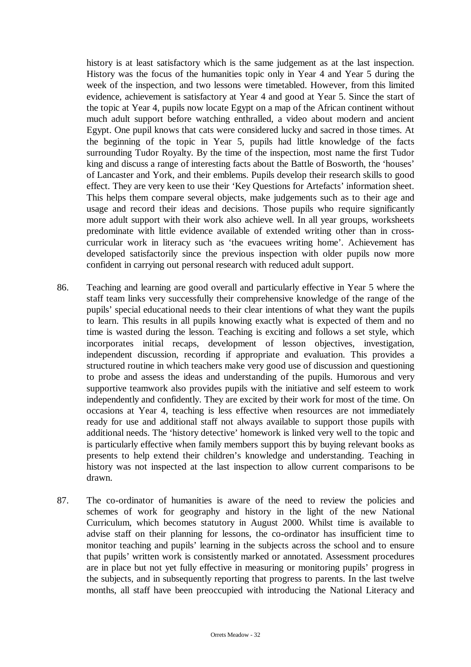history is at least satisfactory which is the same judgement as at the last inspection. History was the focus of the humanities topic only in Year 4 and Year 5 during the week of the inspection, and two lessons were timetabled. However, from this limited evidence, achievement is satisfactory at Year 4 and good at Year 5. Since the start of the topic at Year 4, pupils now locate Egypt on a map of the African continent without much adult support before watching enthralled, a video about modern and ancient Egypt. One pupil knows that cats were considered lucky and sacred in those times. At the beginning of the topic in Year 5, pupils had little knowledge of the facts surrounding Tudor Royalty. By the time of the inspection, most name the first Tudor king and discuss a range of interesting facts about the Battle of Bosworth, the 'houses' of Lancaster and York, and their emblems. Pupils develop their research skills to good effect. They are very keen to use their 'Key Questions for Artefacts' information sheet. This helps them compare several objects, make judgements such as to their age and usage and record their ideas and decisions. Those pupils who require significantly more adult support with their work also achieve well. In all year groups, worksheets predominate with little evidence available of extended writing other than in crosscurricular work in literacy such as 'the evacuees writing home'. Achievement has developed satisfactorily since the previous inspection with older pupils now more confident in carrying out personal research with reduced adult support.

- 86. Teaching and learning are good overall and particularly effective in Year 5 where the staff team links very successfully their comprehensive knowledge of the range of the pupils' special educational needs to their clear intentions of what they want the pupils to learn. This results in all pupils knowing exactly what is expected of them and no time is wasted during the lesson. Teaching is exciting and follows a set style, which incorporates initial recaps, development of lesson objectives, investigation, independent discussion, recording if appropriate and evaluation. This provides a structured routine in which teachers make very good use of discussion and questioning to probe and assess the ideas and understanding of the pupils. Humorous and very supportive teamwork also provides pupils with the initiative and self esteem to work independently and confidently. They are excited by their work for most of the time. On occasions at Year 4, teaching is less effective when resources are not immediately ready for use and additional staff not always available to support those pupils with additional needs. The 'history detective' homework is linked very well to the topic and is particularly effective when family members support this by buying relevant books as presents to help extend their children's knowledge and understanding. Teaching in history was not inspected at the last inspection to allow current comparisons to be drawn.
- 87. The co-ordinator of humanities is aware of the need to review the policies and schemes of work for geography and history in the light of the new National Curriculum, which becomes statutory in August 2000. Whilst time is available to advise staff on their planning for lessons, the co-ordinator has insufficient time to monitor teaching and pupils' learning in the subjects across the school and to ensure that pupils' written work is consistently marked or annotated. Assessment procedures are in place but not yet fully effective in measuring or monitoring pupils' progress in the subjects, and in subsequently reporting that progress to parents. In the last twelve months, all staff have been preoccupied with introducing the National Literacy and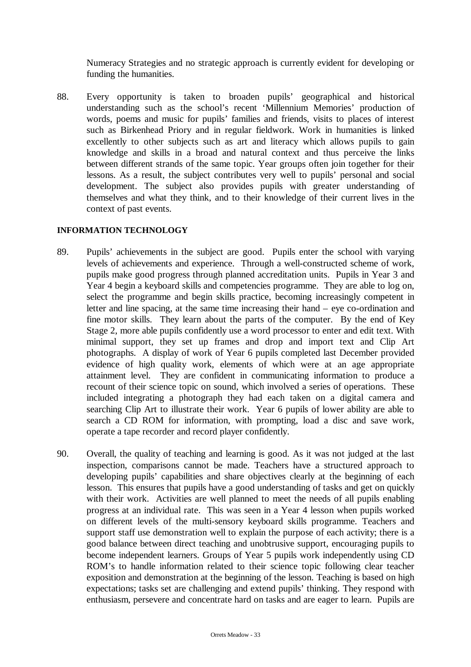Numeracy Strategies and no strategic approach is currently evident for developing or funding the humanities.

88. Every opportunity is taken to broaden pupils' geographical and historical understanding such as the school's recent 'Millennium Memories' production of words, poems and music for pupils' families and friends, visits to places of interest such as Birkenhead Priory and in regular fieldwork. Work in humanities is linked excellently to other subjects such as art and literacy which allows pupils to gain knowledge and skills in a broad and natural context and thus perceive the links between different strands of the same topic. Year groups often join together for their lessons. As a result, the subject contributes very well to pupils' personal and social development. The subject also provides pupils with greater understanding of themselves and what they think, and to their knowledge of their current lives in the context of past events.

# **INFORMATION TECHNOLOGY**

- 89. Pupils' achievements in the subject are good. Pupils enter the school with varying levels of achievements and experience. Through a well-constructed scheme of work, pupils make good progress through planned accreditation units. Pupils in Year 3 and Year 4 begin a keyboard skills and competencies programme. They are able to log on, select the programme and begin skills practice, becoming increasingly competent in letter and line spacing, at the same time increasing their hand – eye co-ordination and fine motor skills. They learn about the parts of the computer. By the end of Key Stage 2, more able pupils confidently use a word processor to enter and edit text. With minimal support, they set up frames and drop and import text and Clip Art photographs. A display of work of Year 6 pupils completed last December provided evidence of high quality work, elements of which were at an age appropriate attainment level. They are confident in communicating information to produce a recount of their science topic on sound, which involved a series of operations. These included integrating a photograph they had each taken on a digital camera and searching Clip Art to illustrate their work. Year 6 pupils of lower ability are able to search a CD ROM for information, with prompting, load a disc and save work, operate a tape recorder and record player confidently.
- 90. Overall, the quality of teaching and learning is good. As it was not judged at the last inspection, comparisons cannot be made. Teachers have a structured approach to developing pupils' capabilities and share objectives clearly at the beginning of each lesson. This ensures that pupils have a good understanding of tasks and get on quickly with their work. Activities are well planned to meet the needs of all pupils enabling progress at an individual rate. This was seen in a Year 4 lesson when pupils worked on different levels of the multi-sensory keyboard skills programme. Teachers and support staff use demonstration well to explain the purpose of each activity; there is a good balance between direct teaching and unobtrusive support, encouraging pupils to become independent learners. Groups of Year 5 pupils work independently using CD ROM's to handle information related to their science topic following clear teacher exposition and demonstration at the beginning of the lesson. Teaching is based on high expectations; tasks set are challenging and extend pupils' thinking. They respond with enthusiasm, persevere and concentrate hard on tasks and are eager to learn. Pupils are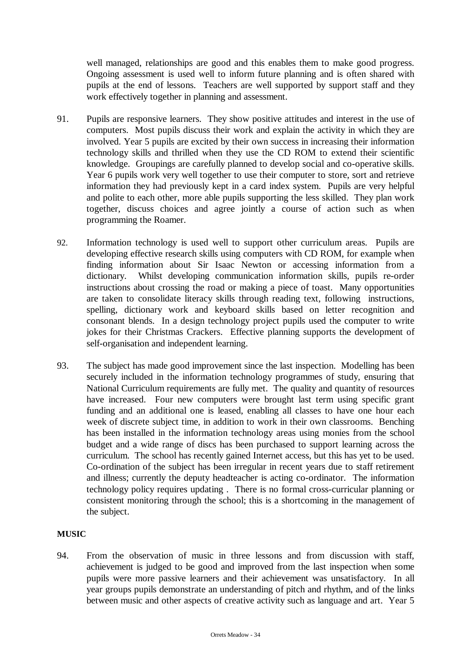well managed, relationships are good and this enables them to make good progress. Ongoing assessment is used well to inform future planning and is often shared with pupils at the end of lessons. Teachers are well supported by support staff and they work effectively together in planning and assessment.

- 91. Pupils are responsive learners. They show positive attitudes and interest in the use of computers. Most pupils discuss their work and explain the activity in which they are involved. Year 5 pupils are excited by their own success in increasing their information technology skills and thrilled when they use the CD ROM to extend their scientific knowledge. Groupings are carefully planned to develop social and co-operative skills. Year 6 pupils work very well together to use their computer to store, sort and retrieve information they had previously kept in a card index system. Pupils are very helpful and polite to each other, more able pupils supporting the less skilled. They plan work together, discuss choices and agree jointly a course of action such as when programming the Roamer.
- 92. Information technology is used well to support other curriculum areas. Pupils are developing effective research skills using computers with CD ROM, for example when finding information about Sir Isaac Newton or accessing information from a dictionary. Whilst developing communication information skills, pupils re-order instructions about crossing the road or making a piece of toast. Many opportunities are taken to consolidate literacy skills through reading text, following instructions, spelling, dictionary work and keyboard skills based on letter recognition and consonant blends. In a design technology project pupils used the computer to write jokes for their Christmas Crackers. Effective planning supports the development of self-organisation and independent learning.
- 93. The subject has made good improvement since the last inspection. Modelling has been securely included in the information technology programmes of study, ensuring that National Curriculum requirements are fully met. The quality and quantity of resources have increased. Four new computers were brought last term using specific grant funding and an additional one is leased, enabling all classes to have one hour each week of discrete subject time, in addition to work in their own classrooms. Benching has been installed in the information technology areas using monies from the school budget and a wide range of discs has been purchased to support learning across the curriculum. The school has recently gained Internet access, but this has yet to be used. Co-ordination of the subject has been irregular in recent years due to staff retirement and illness; currently the deputy headteacher is acting co-ordinator. The information technology policy requires updating . There is no formal cross-curricular planning or consistent monitoring through the school; this is a shortcoming in the management of the subject.

# **MUSIC**

94. From the observation of music in three lessons and from discussion with staff, achievement is judged to be good and improved from the last inspection when some pupils were more passive learners and their achievement was unsatisfactory. In all year groups pupils demonstrate an understanding of pitch and rhythm, and of the links between music and other aspects of creative activity such as language and art. Year 5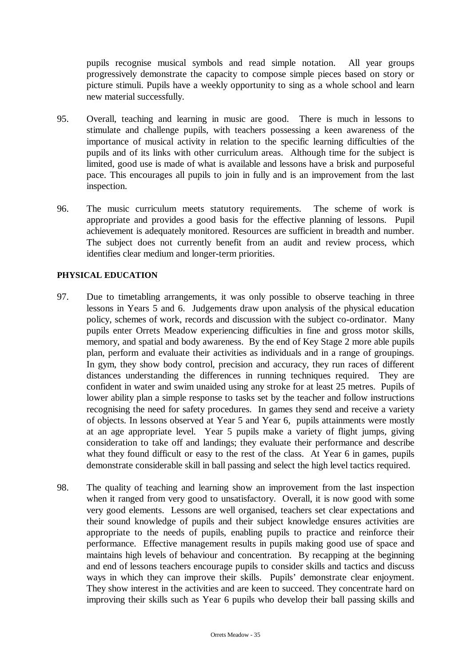pupils recognise musical symbols and read simple notation. All year groups progressively demonstrate the capacity to compose simple pieces based on story or picture stimuli. Pupils have a weekly opportunity to sing as a whole school and learn new material successfully.

- 95. Overall, teaching and learning in music are good. There is much in lessons to stimulate and challenge pupils, with teachers possessing a keen awareness of the importance of musical activity in relation to the specific learning difficulties of the pupils and of its links with other curriculum areas. Although time for the subject is limited, good use is made of what is available and lessons have a brisk and purposeful pace. This encourages all pupils to join in fully and is an improvement from the last inspection.
- 96. The music curriculum meets statutory requirements. The scheme of work is appropriate and provides a good basis for the effective planning of lessons. Pupil achievement is adequately monitored. Resources are sufficient in breadth and number. The subject does not currently benefit from an audit and review process, which identifies clear medium and longer-term priorities.

# **PHYSICAL EDUCATION**

- 97. Due to timetabling arrangements, it was only possible to observe teaching in three lessons in Years 5 and 6. Judgements draw upon analysis of the physical education policy, schemes of work, records and discussion with the subject co-ordinator. Many pupils enter Orrets Meadow experiencing difficulties in fine and gross motor skills, memory, and spatial and body awareness. By the end of Key Stage 2 more able pupils plan, perform and evaluate their activities as individuals and in a range of groupings. In gym, they show body control, precision and accuracy, they run races of different distances understanding the differences in running techniques required. They are confident in water and swim unaided using any stroke for at least 25 metres. Pupils of lower ability plan a simple response to tasks set by the teacher and follow instructions recognising the need for safety procedures. In games they send and receive a variety of objects. In lessons observed at Year 5 and Year 6, pupils attainments were mostly at an age appropriate level. Year 5 pupils make a variety of flight jumps, giving consideration to take off and landings; they evaluate their performance and describe what they found difficult or easy to the rest of the class. At Year 6 in games, pupils demonstrate considerable skill in ball passing and select the high level tactics required.
- 98. The quality of teaching and learning show an improvement from the last inspection when it ranged from very good to unsatisfactory. Overall, it is now good with some very good elements. Lessons are well organised, teachers set clear expectations and their sound knowledge of pupils and their subject knowledge ensures activities are appropriate to the needs of pupils, enabling pupils to practice and reinforce their performance. Effective management results in pupils making good use of space and maintains high levels of behaviour and concentration. By recapping at the beginning and end of lessons teachers encourage pupils to consider skills and tactics and discuss ways in which they can improve their skills. Pupils' demonstrate clear enjoyment. They show interest in the activities and are keen to succeed. They concentrate hard on improving their skills such as Year 6 pupils who develop their ball passing skills and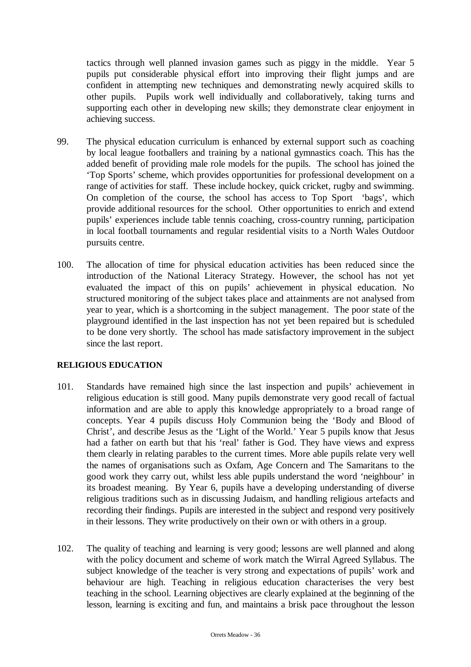tactics through well planned invasion games such as piggy in the middle. Year 5 pupils put considerable physical effort into improving their flight jumps and are confident in attempting new techniques and demonstrating newly acquired skills to other pupils. Pupils work well individually and collaboratively, taking turns and supporting each other in developing new skills; they demonstrate clear enjoyment in achieving success.

- 99. The physical education curriculum is enhanced by external support such as coaching by local league footballers and training by a national gymnastics coach. This has the added benefit of providing male role models for the pupils. The school has joined the 'Top Sports' scheme, which provides opportunities for professional development on a range of activities for staff. These include hockey, quick cricket, rugby and swimming. On completion of the course, the school has access to Top Sport 'bags', which provide additional resources for the school. Other opportunities to enrich and extend pupils' experiences include table tennis coaching, cross-country running, participation in local football tournaments and regular residential visits to a North Wales Outdoor pursuits centre.
- 100. The allocation of time for physical education activities has been reduced since the introduction of the National Literacy Strategy. However, the school has not yet evaluated the impact of this on pupils' achievement in physical education. No structured monitoring of the subject takes place and attainments are not analysed from year to year, which is a shortcoming in the subject management. The poor state of the playground identified in the last inspection has not yet been repaired but is scheduled to be done very shortly. The school has made satisfactory improvement in the subject since the last report.

# **RELIGIOUS EDUCATION**

- 101. Standards have remained high since the last inspection and pupils' achievement in religious education is still good. Many pupils demonstrate very good recall of factual information and are able to apply this knowledge appropriately to a broad range of concepts. Year 4 pupils discuss Holy Communion being the 'Body and Blood of Christ', and describe Jesus as the 'Light of the World.' Year 5 pupils know that Jesus had a father on earth but that his 'real' father is God. They have views and express them clearly in relating parables to the current times. More able pupils relate very well the names of organisations such as Oxfam, Age Concern and The Samaritans to the good work they carry out, whilst less able pupils understand the word 'neighbour' in its broadest meaning. By Year 6, pupils have a developing understanding of diverse religious traditions such as in discussing Judaism, and handling religious artefacts and recording their findings. Pupils are interested in the subject and respond very positively in their lessons. They write productively on their own or with others in a group.
- 102. The quality of teaching and learning is very good; lessons are well planned and along with the policy document and scheme of work match the Wirral Agreed Syllabus. The subject knowledge of the teacher is very strong and expectations of pupils' work and behaviour are high. Teaching in religious education characterises the very best teaching in the school. Learning objectives are clearly explained at the beginning of the lesson, learning is exciting and fun, and maintains a brisk pace throughout the lesson